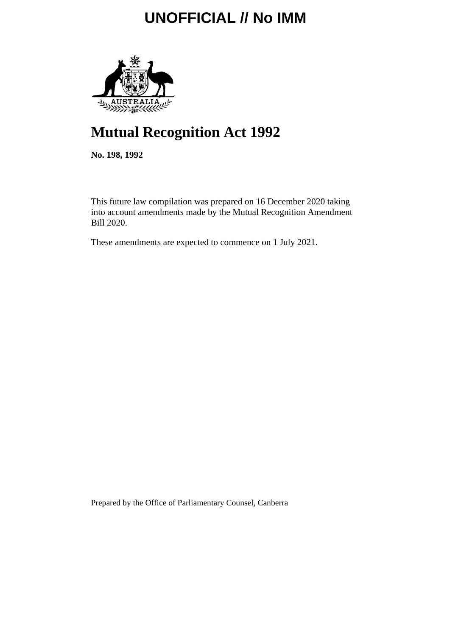

# **Mutual Recognition Act 1992**

**No. 198, 1992**

This future law compilation was prepared on 16 December 2020 taking into account amendments made by the Mutual Recognition Amendment Bill 2020.

These amendments are expected to commence on 1 July 2021.

Prepared by the Office of Parliamentary Counsel, Canberra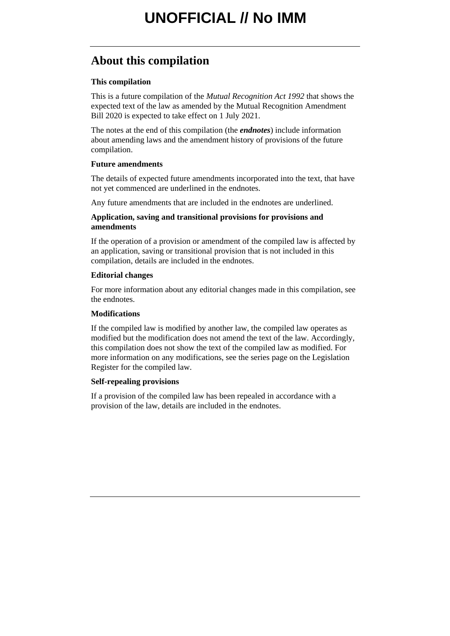## **About this compilation**

### **This compilation**

This is a future compilation of the *Mutual Recognition Act 1992* that shows the expected text of the law as amended by the Mutual Recognition Amendment Bill 2020 is expected to take effect on 1 July 2021.

The notes at the end of this compilation (the *endnotes*) include information about amending laws and the amendment history of provisions of the future compilation.

### **Future amendments**

The details of expected future amendments incorporated into the text, that have not yet commenced are underlined in the endnotes.

Any future amendments that are included in the endnotes are underlined.

### **Application, saving and transitional provisions for provisions and amendments**

If the operation of a provision or amendment of the compiled law is affected by an application, saving or transitional provision that is not included in this compilation, details are included in the endnotes.

### **Editorial changes**

For more information about any editorial changes made in this compilation, see the endnotes.

### **Modifications**

If the compiled law is modified by another law, the compiled law operates as modified but the modification does not amend the text of the law. Accordingly, this compilation does not show the text of the compiled law as modified. For more information on any modifications, see the series page on the Legislation Register for the compiled law.

### **Self-repealing provisions**

If a provision of the compiled law has been repealed in accordance with a provision of the law, details are included in the endnotes.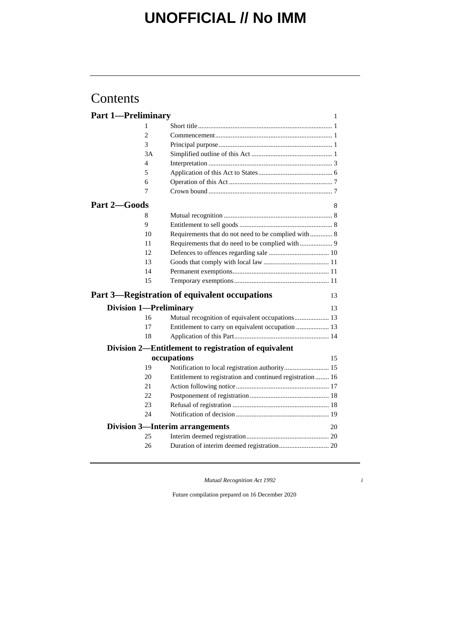## Contents

| <b>Part 1-Preliminary</b> |                | 1                                                                                                    |
|---------------------------|----------------|------------------------------------------------------------------------------------------------------|
|                           | 1              |                                                                                                      |
|                           | $\overline{c}$ |                                                                                                      |
|                           | 3              |                                                                                                      |
|                           | 3A             |                                                                                                      |
|                           | 4              |                                                                                                      |
|                           | 5              |                                                                                                      |
|                           | 6              |                                                                                                      |
|                           | 7              |                                                                                                      |
| Part 2-Goods              |                | 8                                                                                                    |
|                           | 8              |                                                                                                      |
|                           | 9              |                                                                                                      |
|                           | 10             | Requirements that do not need to be complied with 8                                                  |
|                           | 11             |                                                                                                      |
|                           | 12             |                                                                                                      |
|                           | 13             |                                                                                                      |
|                           | 14             |                                                                                                      |
|                           | 15             |                                                                                                      |
|                           |                |                                                                                                      |
|                           |                | Part 3—Registration of equivalent occupations<br>13                                                  |
|                           |                | <b>Division 1-Preliminary</b><br>13                                                                  |
|                           | 16             |                                                                                                      |
|                           | 17             | Mutual recognition of equivalent occupations 13<br>Entitlement to carry on equivalent occupation  13 |
|                           | 18             |                                                                                                      |
|                           |                | Division 2—Entitlement to registration of equivalent                                                 |
|                           |                | occupations<br>15                                                                                    |
|                           | 19             | Notification to local registration authority 15                                                      |
|                           | 20             | Entitlement to registration and continued registration  16                                           |
|                           | 21             |                                                                                                      |
|                           | 22             |                                                                                                      |
|                           | 23             |                                                                                                      |
|                           | 24             |                                                                                                      |
|                           |                | <b>Division 3-Interim arrangements</b><br>20                                                         |
|                           | 25             |                                                                                                      |
|                           | 26             |                                                                                                      |

*Mutual Recognition Act 1992 i*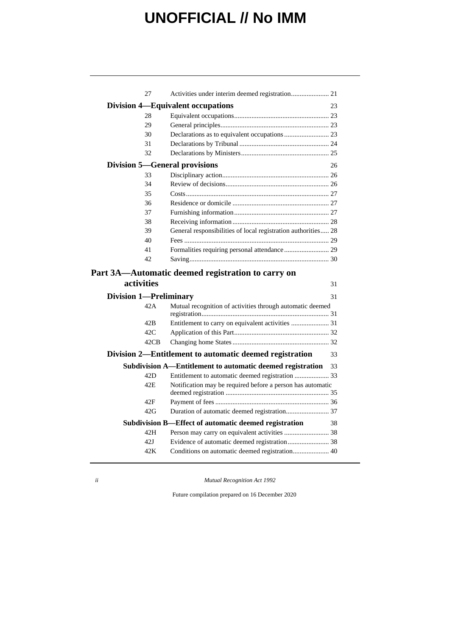|                               | 27         | Activities under interim deemed registration 21               |    |
|-------------------------------|------------|---------------------------------------------------------------|----|
|                               |            | Division 4—Equivalent occupations                             | 23 |
|                               | 28         |                                                               |    |
|                               | 29         |                                                               |    |
|                               | 30         |                                                               |    |
|                               | 31         |                                                               |    |
|                               | 32         |                                                               |    |
|                               |            | <b>Division 5-General provisions</b>                          | 26 |
|                               | 33         |                                                               |    |
|                               | 34         |                                                               |    |
|                               | 35         |                                                               |    |
|                               | 36         |                                                               |    |
|                               | 37         |                                                               |    |
|                               | 38         |                                                               |    |
|                               | 39         | General responsibilities of local registration authorities 28 |    |
|                               | 40         |                                                               |    |
|                               | 41         | Formalities requiring personal attendance  29                 |    |
|                               | 42         |                                                               |    |
|                               |            | Part 3A—Automatic deemed registration to carry on             |    |
|                               | activities |                                                               | 31 |
| <b>Division 1—Preliminary</b> |            |                                                               | 31 |
|                               | 42A        | Mutual recognition of activities through automatic deemed     |    |
|                               |            |                                                               |    |
|                               | 42B        | Entitlement to carry on equivalent activities  31             |    |
|                               | 42C        |                                                               |    |
|                               | 42CB       |                                                               |    |
|                               |            | Division 2—Entitlement to automatic deemed registration       | 33 |
|                               |            | Subdivision A-Entitlement to automatic deemed registration    | 33 |
|                               | 42D        | Entitlement to automatic deemed registration  33              |    |
|                               | 42E        | Notification may be required before a person has automatic    |    |
|                               | 42F        |                                                               |    |
|                               | 42G        |                                                               |    |
|                               |            | Subdivision B-Effect of automatic deemed registration         | 38 |
|                               | 42H        | Person may carry on equivalent activities  38                 |    |
|                               | 42J        | Evidence of automatic deemed registration 38                  |    |
|                               | 42K        | Conditions on automatic deemed registration 40                |    |
|                               |            |                                                               |    |

*ii Mutual Recognition Act 1992*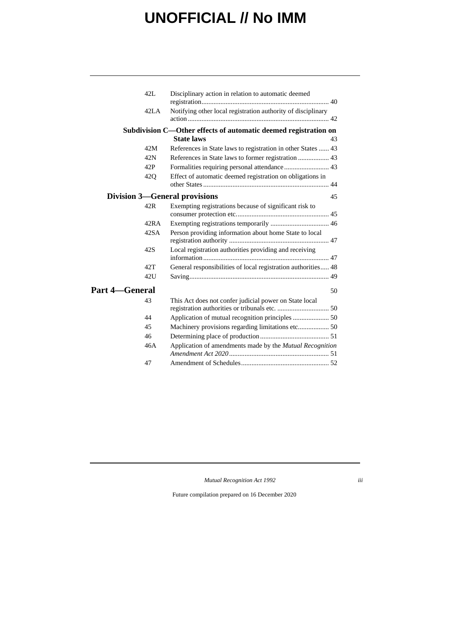|                       | $42I$ .         | Disciplinary action in relation to automatic deemed             |    |
|-----------------------|-----------------|-----------------------------------------------------------------|----|
|                       | 42LA            | Notifying other local registration authority of disciplinary    |    |
|                       |                 | Subdivision C—Other effects of automatic deemed registration on |    |
|                       |                 | <b>State laws</b>                                               | 43 |
|                       | 42M             | References in State laws to registration in other States  43    |    |
|                       | 42N             |                                                                 |    |
|                       | 42P             |                                                                 |    |
|                       | 42 <sub>O</sub> | Effect of automatic deemed registration on obligations in       |    |
|                       |                 | <b>Division 3—General provisions</b>                            | 45 |
|                       | 42R             | Exempting registrations because of significant risk to          |    |
|                       | 42RA            |                                                                 |    |
|                       | 42SA            | Person providing information about home State to local          |    |
|                       | 42S             | Local registration authorities providing and receiving          |    |
|                       | 42T             | General responsibilities of local registration authorities 48   |    |
|                       | 42U             |                                                                 |    |
| <b>Part 4—General</b> |                 |                                                                 | 50 |
|                       | 43              | This Act does not confer judicial power on State local          |    |
|                       | 44              |                                                                 |    |
|                       | 45              |                                                                 |    |
|                       | 46              |                                                                 |    |
|                       | 46A             | Application of amendments made by the Mutual Recognition        |    |
|                       | 47              |                                                                 |    |
|                       |                 |                                                                 |    |

*Mutual Recognition Act 1992 iii*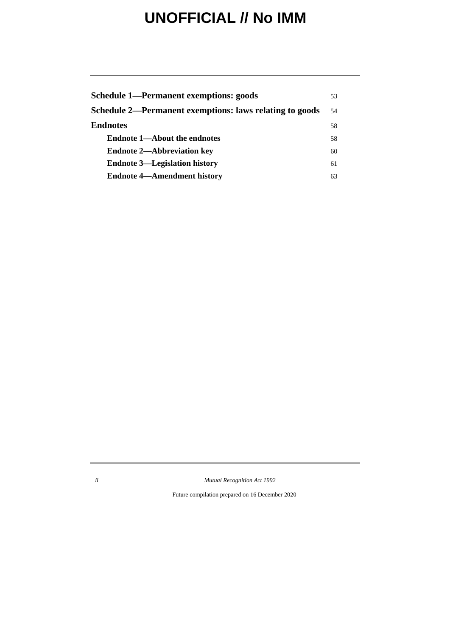| Schedule 1—Permanent exemptions: goods                  |    |
|---------------------------------------------------------|----|
| Schedule 2—Permanent exemptions: laws relating to goods |    |
| <b>Endnotes</b>                                         | 58 |
| <b>Endnote 1—About the endnotes</b>                     | 58 |
| <b>Endnote 2-Abbreviation key</b>                       | 60 |
| <b>Endnote 3—Legislation history</b>                    | 61 |
| <b>Endnote 4—Amendment history</b>                      | 63 |

*ii Mutual Recognition Act 1992*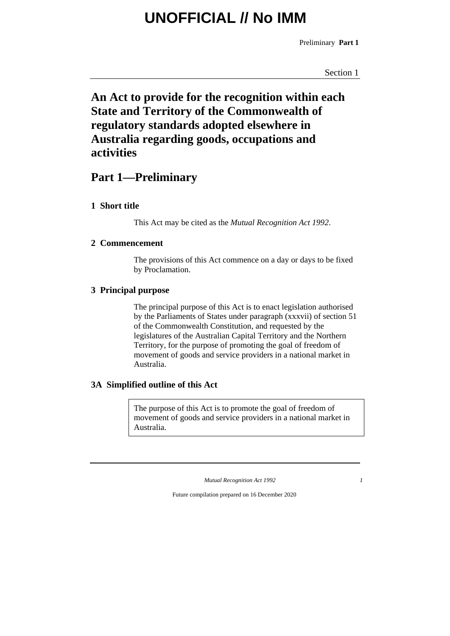Preliminary **Part 1**

Section 1

## **An Act to provide for the recognition within each State and Territory of the Commonwealth of regulatory standards adopted elsewhere in Australia regarding goods, occupations and activities**

## **Part 1—Preliminary**

### **1 Short title**

This Act may be cited as the *Mutual Recognition Act 1992*.

### **2 Commencement**

The provisions of this Act commence on a day or days to be fixed by Proclamation.

### **3 Principal purpose**

The principal purpose of this Act is to enact legislation authorised by the Parliaments of States under paragraph (xxxvii) of section 51 of the Commonwealth Constitution, and requested by the legislatures of the Australian Capital Territory and the Northern Territory, for the purpose of promoting the goal of freedom of movement of goods and service providers in a national market in Australia.

### **3A Simplified outline of this Act**

The purpose of this Act is to promote the goal of freedom of movement of goods and service providers in a national market in Australia.

*Mutual Recognition Act 1992 1*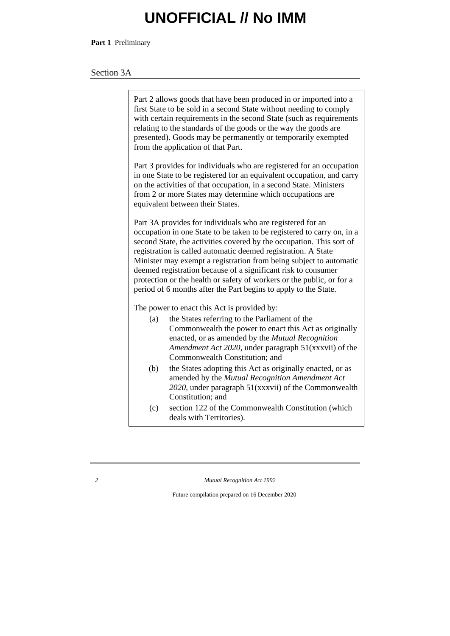**Part 1** Preliminary

### Section 3A

|                                                                                                                                                                                                                                                                                                                                                                                                                                                                                                                                                                  | Part 2 allows goods that have been produced in or imported into a<br>first State to be sold in a second State without needing to comply<br>with certain requirements in the second State (such as requirements<br>relating to the standards of the goods or the way the goods are<br>presented). Goods may be permanently or temporarily exempted<br>from the application of that Part. |  |  |  |
|------------------------------------------------------------------------------------------------------------------------------------------------------------------------------------------------------------------------------------------------------------------------------------------------------------------------------------------------------------------------------------------------------------------------------------------------------------------------------------------------------------------------------------------------------------------|-----------------------------------------------------------------------------------------------------------------------------------------------------------------------------------------------------------------------------------------------------------------------------------------------------------------------------------------------------------------------------------------|--|--|--|
| Part 3 provides for individuals who are registered for an occupation<br>in one State to be registered for an equivalent occupation, and carry<br>on the activities of that occupation, in a second State. Ministers<br>from 2 or more States may determine which occupations are<br>equivalent between their States.                                                                                                                                                                                                                                             |                                                                                                                                                                                                                                                                                                                                                                                         |  |  |  |
| Part 3A provides for individuals who are registered for an<br>occupation in one State to be taken to be registered to carry on, in a<br>second State, the activities covered by the occupation. This sort of<br>registration is called automatic deemed registration. A State<br>Minister may exempt a registration from being subject to automatic<br>deemed registration because of a significant risk to consumer<br>protection or the health or safety of workers or the public, or for a<br>period of 6 months after the Part begins to apply to the State. |                                                                                                                                                                                                                                                                                                                                                                                         |  |  |  |
| The power to enact this Act is provided by:                                                                                                                                                                                                                                                                                                                                                                                                                                                                                                                      |                                                                                                                                                                                                                                                                                                                                                                                         |  |  |  |
| (a)                                                                                                                                                                                                                                                                                                                                                                                                                                                                                                                                                              | the States referring to the Parliament of the<br>Commonwealth the power to enact this Act as originally<br>enacted, or as amended by the Mutual Recognition<br>Amendment Act 2020, under paragraph 51(xxxvii) of the<br>Commonwealth Constitution; and                                                                                                                                  |  |  |  |
| (b)                                                                                                                                                                                                                                                                                                                                                                                                                                                                                                                                                              | the States adopting this Act as originally enacted, or as<br>amended by the Mutual Recognition Amendment Act<br>2020, under paragraph 51(xxxvii) of the Commonwealth<br>Constitution; and                                                                                                                                                                                               |  |  |  |
| (c)                                                                                                                                                                                                                                                                                                                                                                                                                                                                                                                                                              | section 122 of the Commonwealth Constitution (which<br>deals with Territories).                                                                                                                                                                                                                                                                                                         |  |  |  |

*2 Mutual Recognition Act 1992*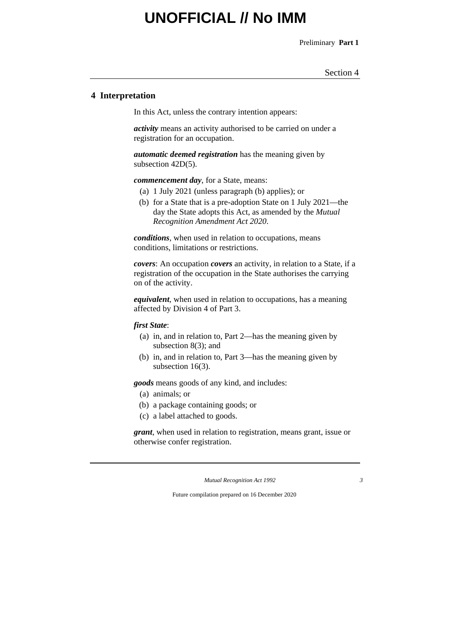Preliminary **Part 1**

Section 4

### **4 Interpretation**

In this Act, unless the contrary intention appears:

*activity* means an activity authorised to be carried on under a registration for an occupation.

*automatic deemed registration* has the meaning given by subsection 42D(5).

*commencement day*, for a State, means:

- (a) 1 July 2021 (unless paragraph (b) applies); or
- (b) for a State that is a pre-adoption State on 1 July 2021—the day the State adopts this Act, as amended by the *Mutual Recognition Amendment Act 2020*.

*conditions*, when used in relation to occupations, means conditions, limitations or restrictions.

*covers*: An occupation *covers* an activity, in relation to a State, if a registration of the occupation in the State authorises the carrying on of the activity.

*equivalent*, when used in relation to occupations, has a meaning affected by Division 4 of Part 3.

#### *first State*:

- (a) in, and in relation to, Part 2—has the meaning given by subsection 8(3); and
- (b) in, and in relation to, Part 3—has the meaning given by subsection 16(3).

*goods* means goods of any kind, and includes:

- (a) animals; or
- (b) a package containing goods; or
- (c) a label attached to goods.

*grant*, when used in relation to registration, means grant, issue or otherwise confer registration.

*Mutual Recognition Act 1992 3*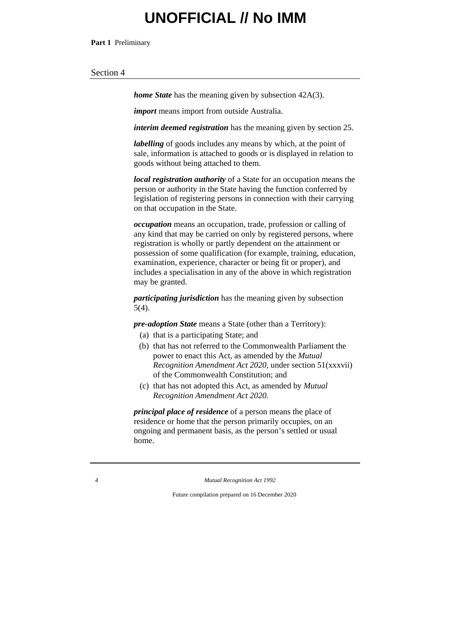**Part 1** Preliminary

#### Section 4

*home State* has the meaning given by subsection 42A(3).

*import* means import from outside Australia.

*interim deemed registration* has the meaning given by section 25.

*labelling* of goods includes any means by which, at the point of sale, information is attached to goods or is displayed in relation to goods without being attached to them.

*local registration authority* of a State for an occupation means the person or authority in the State having the function conferred by legislation of registering persons in connection with their carrying on that occupation in the State.

*occupation* means an occupation, trade, profession or calling of any kind that may be carried on only by registered persons, where registration is wholly or partly dependent on the attainment or possession of some qualification (for example, training, education, examination, experience, character or being fit or proper), and includes a specialisation in any of the above in which registration may be granted.

*participating jurisdiction* has the meaning given by subsection 5(4).

*pre-adoption State* means a State (other than a Territory):

- (a) that is a participating State; and
- (b) that has not referred to the Commonwealth Parliament the power to enact this Act, as amended by the *Mutual Recognition Amendment Act 2020*, under section 51(xxxvii) of the Commonwealth Constitution; and
- (c) that has not adopted this Act, as amended by *Mutual Recognition Amendment Act 2020.*

*principal place of residence* of a person means the place of residence or home that the person primarily occupies, on an ongoing and permanent basis, as the person's settled or usual home.

*4 Mutual Recognition Act 1992*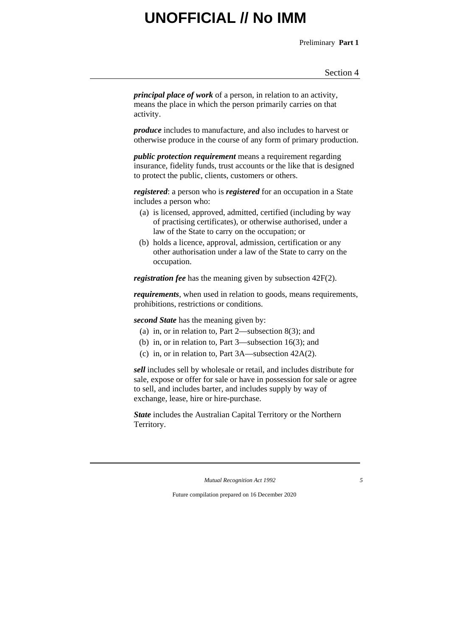Preliminary **Part 1**

*principal place of work* of a person, in relation to an activity, means the place in which the person primarily carries on that activity.

*produce* includes to manufacture, and also includes to harvest or otherwise produce in the course of any form of primary production.

*public protection requirement* means a requirement regarding insurance, fidelity funds, trust accounts or the like that is designed to protect the public, clients, customers or others.

*registered*: a person who is *registered* for an occupation in a State includes a person who:

- (a) is licensed, approved, admitted, certified (including by way of practising certificates), or otherwise authorised, under a law of the State to carry on the occupation; or
- (b) holds a licence, approval, admission, certification or any other authorisation under a law of the State to carry on the occupation.

*registration fee* has the meaning given by subsection 42F(2).

*requirements*, when used in relation to goods, means requirements, prohibitions, restrictions or conditions.

*second State* has the meaning given by:

- (a) in, or in relation to, Part 2—subsection 8(3); and
- (b) in, or in relation to, Part 3—subsection 16(3); and
- (c) in, or in relation to, Part 3A—subsection 42A(2).

*sell* includes sell by wholesale or retail, and includes distribute for sale, expose or offer for sale or have in possession for sale or agree to sell, and includes barter, and includes supply by way of exchange, lease, hire or hire-purchase.

*State* includes the Australian Capital Territory or the Northern Territory.

*Mutual Recognition Act 1992 5*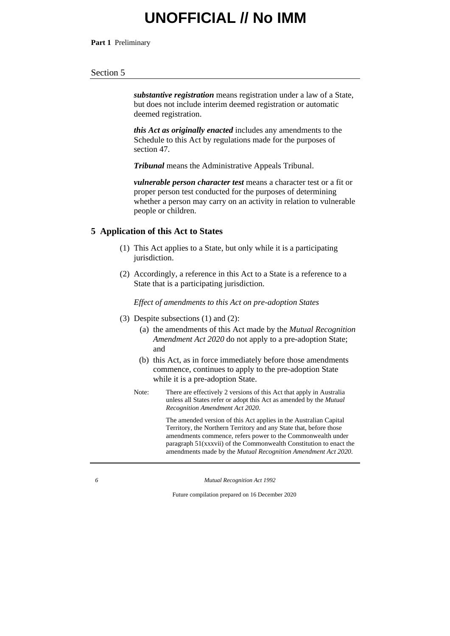**Part 1** Preliminary

#### Section 5

*substantive registration* means registration under a law of a State, but does not include interim deemed registration or automatic deemed registration.

*this Act as originally enacted* includes any amendments to the Schedule to this Act by regulations made for the purposes of section 47.

*Tribunal* means the Administrative Appeals Tribunal.

*vulnerable person character test* means a character test or a fit or proper person test conducted for the purposes of determining whether a person may carry on an activity in relation to vulnerable people or children.

#### **5 Application of this Act to States**

- (1) This Act applies to a State, but only while it is a participating jurisdiction.
- (2) Accordingly, a reference in this Act to a State is a reference to a State that is a participating jurisdiction.

*Effect of amendments to this Act on pre-adoption States*

- (3) Despite subsections (1) and (2):
	- (a) the amendments of this Act made by the *Mutual Recognition Amendment Act 2020* do not apply to a pre-adoption State; and
	- (b) this Act, as in force immediately before those amendments commence, continues to apply to the pre-adoption State while it is a pre-adoption State.
	- Note: There are effectively 2 versions of this Act that apply in Australia unless all States refer or adopt this Act as amended by the *Mutual Recognition Amendment Act 2020*.

The amended version of this Act applies in the Australian Capital Territory, the Northern Territory and any State that, before those amendments commence, refers power to the Commonwealth under paragraph 51(xxxvii) of the Commonwealth Constitution to enact the amendments made by the *Mutual Recognition Amendment Act 2020*.

*6 Mutual Recognition Act 1992*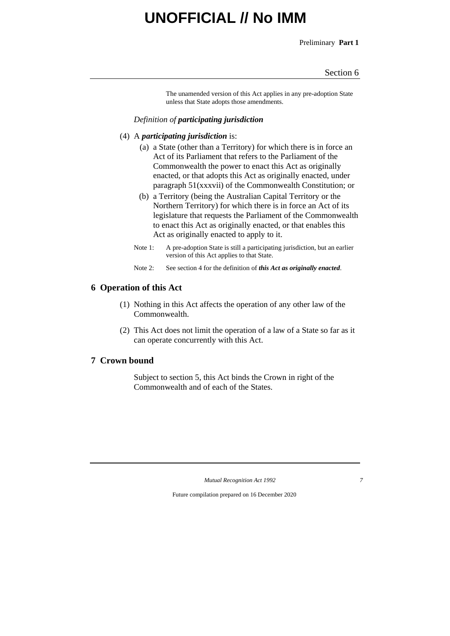Preliminary **Part 1**

#### Section 6

The unamended version of this Act applies in any pre-adoption State unless that State adopts those amendments.

### *Definition of participating jurisdiction*

- (4) A *participating jurisdiction* is:
	- (a) a State (other than a Territory) for which there is in force an Act of its Parliament that refers to the Parliament of the Commonwealth the power to enact this Act as originally enacted, or that adopts this Act as originally enacted, under paragraph 51(xxxvii) of the Commonwealth Constitution; or
	- (b) a Territory (being the Australian Capital Territory or the Northern Territory) for which there is in force an Act of its legislature that requests the Parliament of the Commonwealth to enact this Act as originally enacted, or that enables this Act as originally enacted to apply to it.
	- Note 1: A pre-adoption State is still a participating jurisdiction, but an earlier version of this Act applies to that State.
	- Note 2: See section 4 for the definition of *this Act as originally enacted*.

### **6 Operation of this Act**

- (1) Nothing in this Act affects the operation of any other law of the Commonwealth.
- (2) This Act does not limit the operation of a law of a State so far as it can operate concurrently with this Act.

### **7 Crown bound**

Subject to section 5, this Act binds the Crown in right of the Commonwealth and of each of the States.

*Mutual Recognition Act 1992 7*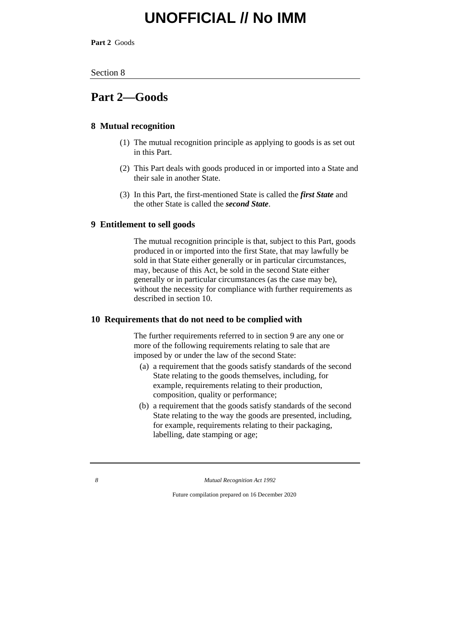**Part 2** Goods

#### Section 8

### **Part 2—Goods**

### **8 Mutual recognition**

- (1) The mutual recognition principle as applying to goods is as set out in this Part.
- (2) This Part deals with goods produced in or imported into a State and their sale in another State.
- (3) In this Part, the first-mentioned State is called the *first State* and the other State is called the *second State*.

### **9 Entitlement to sell goods**

The mutual recognition principle is that, subject to this Part, goods produced in or imported into the first State, that may lawfully be sold in that State either generally or in particular circumstances, may, because of this Act, be sold in the second State either generally or in particular circumstances (as the case may be), without the necessity for compliance with further requirements as described in section 10.

#### **10 Requirements that do not need to be complied with**

The further requirements referred to in section 9 are any one or more of the following requirements relating to sale that are imposed by or under the law of the second State:

- (a) a requirement that the goods satisfy standards of the second State relating to the goods themselves, including, for example, requirements relating to their production, composition, quality or performance;
- (b) a requirement that the goods satisfy standards of the second State relating to the way the goods are presented, including, for example, requirements relating to their packaging, labelling, date stamping or age;

*8 Mutual Recognition Act 1992*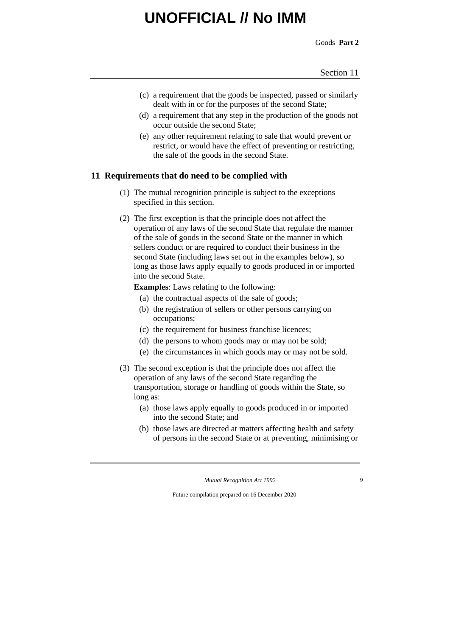Goods **Part 2**

- (c) a requirement that the goods be inspected, passed or similarly dealt with in or for the purposes of the second State;
- (d) a requirement that any step in the production of the goods not occur outside the second State;
- (e) any other requirement relating to sale that would prevent or restrict, or would have the effect of preventing or restricting, the sale of the goods in the second State.

### **11 Requirements that do need to be complied with**

- (1) The mutual recognition principle is subject to the exceptions specified in this section.
- (2) The first exception is that the principle does not affect the operation of any laws of the second State that regulate the manner of the sale of goods in the second State or the manner in which sellers conduct or are required to conduct their business in the second State (including laws set out in the examples below), so long as those laws apply equally to goods produced in or imported into the second State.

**Examples**: Laws relating to the following:

- (a) the contractual aspects of the sale of goods;
- (b) the registration of sellers or other persons carrying on occupations;
- (c) the requirement for business franchise licences;
- (d) the persons to whom goods may or may not be sold;
- (e) the circumstances in which goods may or may not be sold.
- (3) The second exception is that the principle does not affect the operation of any laws of the second State regarding the transportation, storage or handling of goods within the State, so long as:
	- (a) those laws apply equally to goods produced in or imported into the second State; and
	- (b) those laws are directed at matters affecting health and safety of persons in the second State or at preventing, minimising or

*Mutual Recognition Act 1992 9*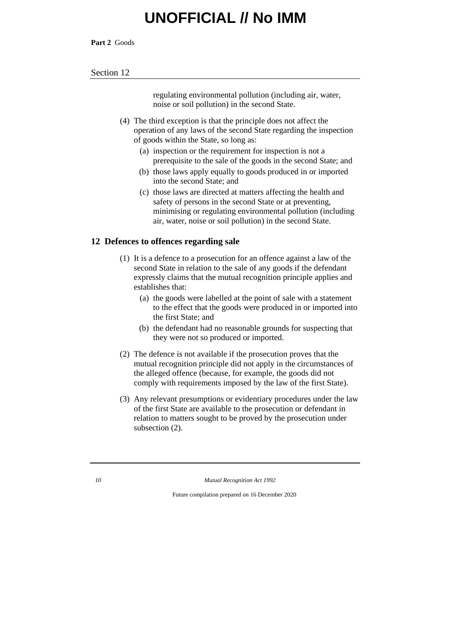**Part 2** Goods

#### Section 12

regulating environmental pollution (including air, water, noise or soil pollution) in the second State.

(4) The third exception is that the principle does not affect the operation of any laws of the second State regarding the inspection of goods within the State, so long as:

- (a) inspection or the requirement for inspection is not a prerequisite to the sale of the goods in the second State; and
- (b) those laws apply equally to goods produced in or imported into the second State; and
- (c) those laws are directed at matters affecting the health and safety of persons in the second State or at preventing, minimising or regulating environmental pollution (including air, water, noise or soil pollution) in the second State.

### **12 Defences to offences regarding sale**

- (1) It is a defence to a prosecution for an offence against a law of the second State in relation to the sale of any goods if the defendant expressly claims that the mutual recognition principle applies and establishes that:
	- (a) the goods were labelled at the point of sale with a statement to the effect that the goods were produced in or imported into the first State; and
	- (b) the defendant had no reasonable grounds for suspecting that they were not so produced or imported.
- (2) The defence is not available if the prosecution proves that the mutual recognition principle did not apply in the circumstances of the alleged offence (because, for example, the goods did not comply with requirements imposed by the law of the first State).
- (3) Any relevant presumptions or evidentiary procedures under the law of the first State are available to the prosecution or defendant in relation to matters sought to be proved by the prosecution under subsection (2).

*10 Mutual Recognition Act 1992*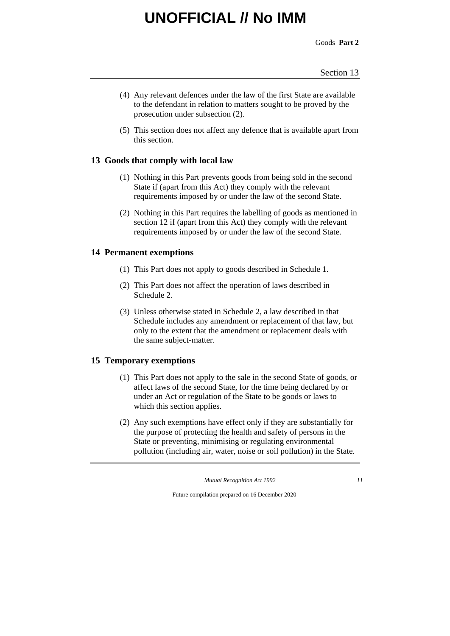Goods **Part 2**

- (4) Any relevant defences under the law of the first State are available to the defendant in relation to matters sought to be proved by the prosecution under subsection (2).
- (5) This section does not affect any defence that is available apart from this section.

### **13 Goods that comply with local law**

- (1) Nothing in this Part prevents goods from being sold in the second State if (apart from this Act) they comply with the relevant requirements imposed by or under the law of the second State.
- (2) Nothing in this Part requires the labelling of goods as mentioned in section 12 if (apart from this Act) they comply with the relevant requirements imposed by or under the law of the second State.

### **14 Permanent exemptions**

- (1) This Part does not apply to goods described in Schedule 1.
- (2) This Part does not affect the operation of laws described in Schedule 2.
- (3) Unless otherwise stated in Schedule 2, a law described in that Schedule includes any amendment or replacement of that law, but only to the extent that the amendment or replacement deals with the same subject-matter.

### **15 Temporary exemptions**

- (1) This Part does not apply to the sale in the second State of goods, or affect laws of the second State, for the time being declared by or under an Act or regulation of the State to be goods or laws to which this section applies.
- (2) Any such exemptions have effect only if they are substantially for the purpose of protecting the health and safety of persons in the State or preventing, minimising or regulating environmental pollution (including air, water, noise or soil pollution) in the State.

*Mutual Recognition Act 1992 11*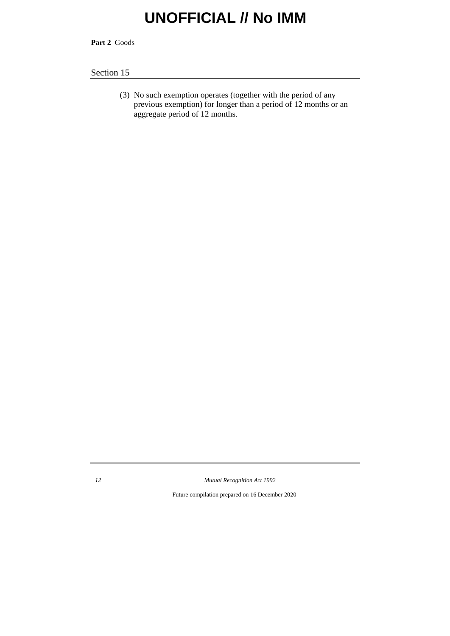**Part 2** Goods

### Section 15

(3) No such exemption operates (together with the period of any previous exemption) for longer than a period of 12 months or an aggregate period of 12 months.

*12 Mutual Recognition Act 1992*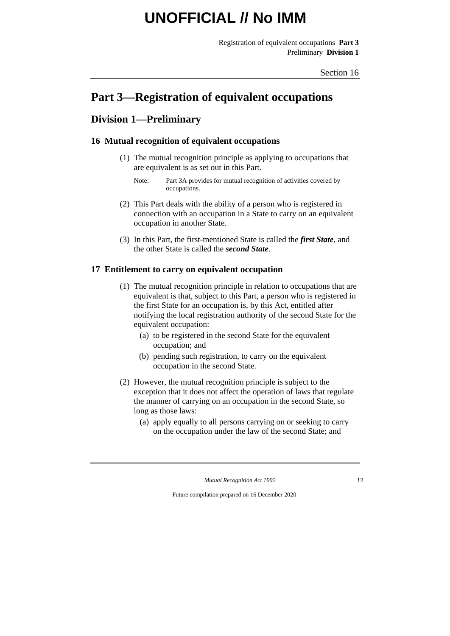Registration of equivalent occupations **Part 3** Preliminary **Division 1**

## **Part 3—Registration of equivalent occupations**

### **Division 1—Preliminary**

### **16 Mutual recognition of equivalent occupations**

- (1) The mutual recognition principle as applying to occupations that are equivalent is as set out in this Part.
	- Note: Part 3A provides for mutual recognition of activities covered by occupations.
- (2) This Part deals with the ability of a person who is registered in connection with an occupation in a State to carry on an equivalent occupation in another State.
- (3) In this Part, the first-mentioned State is called the *first State*, and the other State is called the *second State*.

### **17 Entitlement to carry on equivalent occupation**

- (1) The mutual recognition principle in relation to occupations that are equivalent is that, subject to this Part, a person who is registered in the first State for an occupation is, by this Act, entitled after notifying the local registration authority of the second State for the equivalent occupation:
	- (a) to be registered in the second State for the equivalent occupation; and
	- (b) pending such registration, to carry on the equivalent occupation in the second State.
- (2) However, the mutual recognition principle is subject to the exception that it does not affect the operation of laws that regulate the manner of carrying on an occupation in the second State, so long as those laws:
	- (a) apply equally to all persons carrying on or seeking to carry on the occupation under the law of the second State; and

*Mutual Recognition Act 1992 13*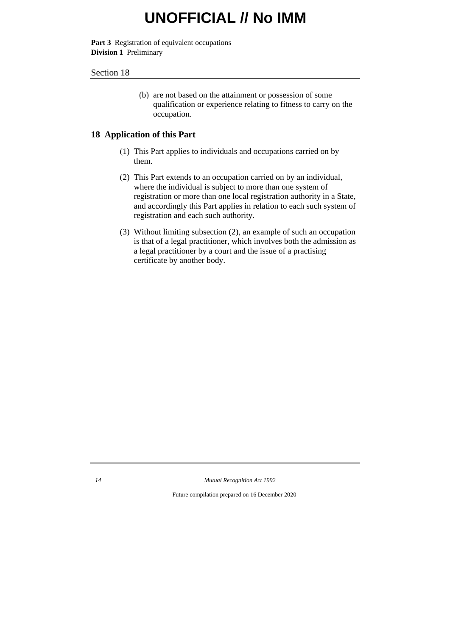**Part 3** Registration of equivalent occupations **Division 1** Preliminary

#### Section 18

(b) are not based on the attainment or possession of some qualification or experience relating to fitness to carry on the occupation.

### **18 Application of this Part**

- (1) This Part applies to individuals and occupations carried on by them.
- (2) This Part extends to an occupation carried on by an individual, where the individual is subject to more than one system of registration or more than one local registration authority in a State, and accordingly this Part applies in relation to each such system of registration and each such authority.
- (3) Without limiting subsection (2), an example of such an occupation is that of a legal practitioner, which involves both the admission as a legal practitioner by a court and the issue of a practising certificate by another body.

*14 Mutual Recognition Act 1992*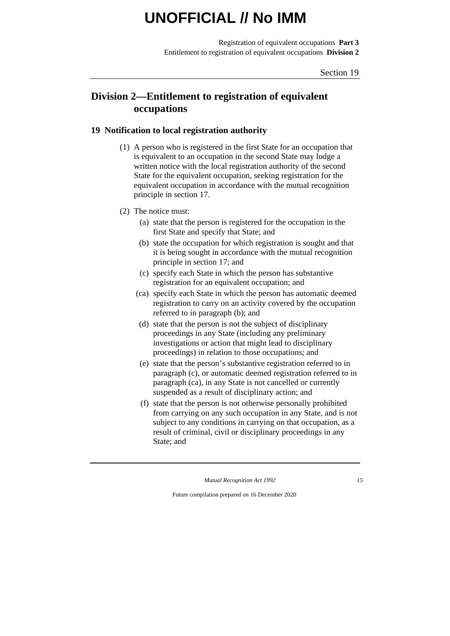Registration of equivalent occupations **Part 3** Entitlement to registration of equivalent occupations **Division 2**

### **Division 2—Entitlement to registration of equivalent occupations**

### **19 Notification to local registration authority**

- (1) A person who is registered in the first State for an occupation that is equivalent to an occupation in the second State may lodge a written notice with the local registration authority of the second State for the equivalent occupation, seeking registration for the equivalent occupation in accordance with the mutual recognition principle in section 17.
- (2) The notice must:
	- (a) state that the person is registered for the occupation in the first State and specify that State; and
	- (b) state the occupation for which registration is sought and that it is being sought in accordance with the mutual recognition principle in section 17; and
	- (c) specify each State in which the person has substantive registration for an equivalent occupation; and
	- (ca) specify each State in which the person has automatic deemed registration to carry on an activity covered by the occupation referred to in paragraph (b); and
	- (d) state that the person is not the subject of disciplinary proceedings in any State (including any preliminary investigations or action that might lead to disciplinary proceedings) in relation to those occupations; and
	- (e) state that the person's substantive registration referred to in paragraph (c), or automatic deemed registration referred to in paragraph (ca), in any State is not cancelled or currently suspended as a result of disciplinary action; and
	- (f) state that the person is not otherwise personally prohibited from carrying on any such occupation in any State, and is not subject to any conditions in carrying on that occupation, as a result of criminal, civil or disciplinary proceedings in any State; and

*Mutual Recognition Act 1992 15*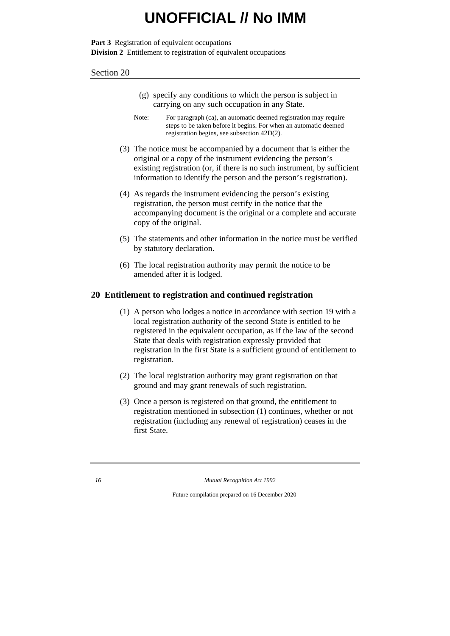**Part 3** Registration of equivalent occupations **Division 2** Entitlement to registration of equivalent occupations

#### Section 20

- (g) specify any conditions to which the person is subject in carrying on any such occupation in any State.
- Note: For paragraph (ca), an automatic deemed registration may require steps to be taken before it begins. For when an automatic deemed registration begins, see subsection 42D(2).
- (3) The notice must be accompanied by a document that is either the original or a copy of the instrument evidencing the person's existing registration (or, if there is no such instrument, by sufficient information to identify the person and the person's registration).
- (4) As regards the instrument evidencing the person's existing registration, the person must certify in the notice that the accompanying document is the original or a complete and accurate copy of the original.
- (5) The statements and other information in the notice must be verified by statutory declaration.
- (6) The local registration authority may permit the notice to be amended after it is lodged.

#### **20 Entitlement to registration and continued registration**

- (1) A person who lodges a notice in accordance with section 19 with a local registration authority of the second State is entitled to be registered in the equivalent occupation, as if the law of the second State that deals with registration expressly provided that registration in the first State is a sufficient ground of entitlement to registration.
- (2) The local registration authority may grant registration on that ground and may grant renewals of such registration.
- (3) Once a person is registered on that ground, the entitlement to registration mentioned in subsection (1) continues, whether or not registration (including any renewal of registration) ceases in the first State.

*16 Mutual Recognition Act 1992*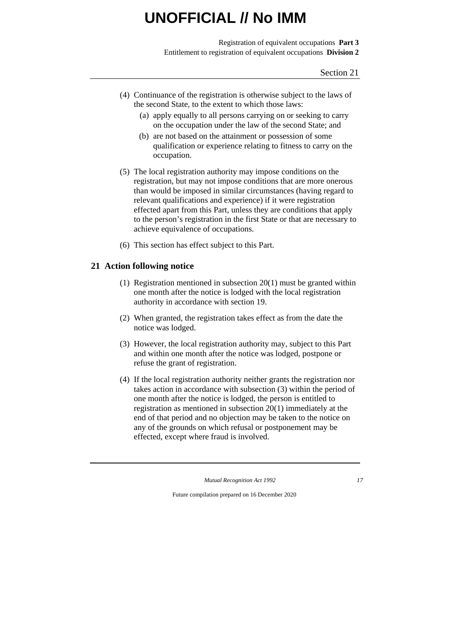Registration of equivalent occupations **Part 3** Entitlement to registration of equivalent occupations **Division 2**

- (4) Continuance of the registration is otherwise subject to the laws of the second State, to the extent to which those laws:
	- (a) apply equally to all persons carrying on or seeking to carry on the occupation under the law of the second State; and
	- (b) are not based on the attainment or possession of some qualification or experience relating to fitness to carry on the occupation.
- (5) The local registration authority may impose conditions on the registration, but may not impose conditions that are more onerous than would be imposed in similar circumstances (having regard to relevant qualifications and experience) if it were registration effected apart from this Part, unless they are conditions that apply to the person's registration in the first State or that are necessary to achieve equivalence of occupations.
- (6) This section has effect subject to this Part.

### **21 Action following notice**

- (1) Registration mentioned in subsection 20(1) must be granted within one month after the notice is lodged with the local registration authority in accordance with section 19.
- (2) When granted, the registration takes effect as from the date the notice was lodged.
- (3) However, the local registration authority may, subject to this Part and within one month after the notice was lodged, postpone or refuse the grant of registration.
- (4) If the local registration authority neither grants the registration nor takes action in accordance with subsection (3) within the period of one month after the notice is lodged, the person is entitled to registration as mentioned in subsection 20(1) immediately at the end of that period and no objection may be taken to the notice on any of the grounds on which refusal or postponement may be effected, except where fraud is involved.

*Mutual Recognition Act 1992 17*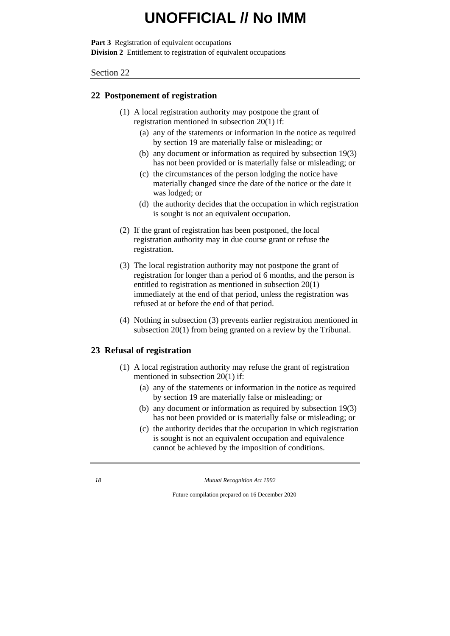**Part 3** Registration of equivalent occupations **Division 2** Entitlement to registration of equivalent occupations

Section 22

### **22 Postponement of registration**

- (1) A local registration authority may postpone the grant of registration mentioned in subsection 20(1) if:
	- (a) any of the statements or information in the notice as required by section 19 are materially false or misleading; or
	- (b) any document or information as required by subsection 19(3) has not been provided or is materially false or misleading; or
	- (c) the circumstances of the person lodging the notice have materially changed since the date of the notice or the date it was lodged; or
	- (d) the authority decides that the occupation in which registration is sought is not an equivalent occupation.
- (2) If the grant of registration has been postponed, the local registration authority may in due course grant or refuse the registration.
- (3) The local registration authority may not postpone the grant of registration for longer than a period of 6 months, and the person is entitled to registration as mentioned in subsection 20(1) immediately at the end of that period, unless the registration was refused at or before the end of that period.
- (4) Nothing in subsection (3) prevents earlier registration mentioned in subsection 20(1) from being granted on a review by the Tribunal.

### **23 Refusal of registration**

- (1) A local registration authority may refuse the grant of registration mentioned in subsection 20(1) if:
	- (a) any of the statements or information in the notice as required by section 19 are materially false or misleading; or
	- (b) any document or information as required by subsection 19(3) has not been provided or is materially false or misleading; or
	- (c) the authority decides that the occupation in which registration is sought is not an equivalent occupation and equivalence cannot be achieved by the imposition of conditions.

*<sup>18</sup> Mutual Recognition Act 1992*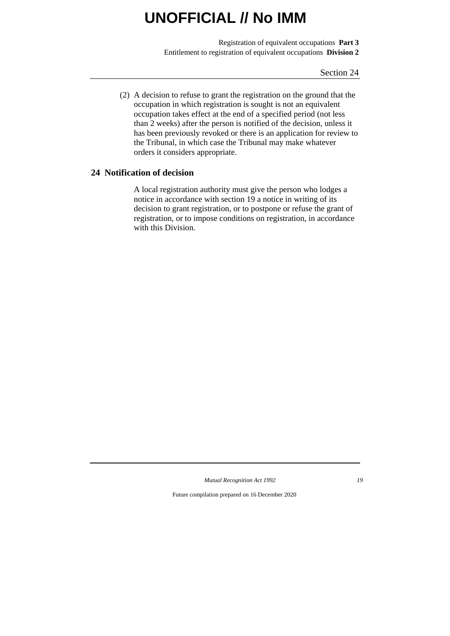Registration of equivalent occupations **Part 3** Entitlement to registration of equivalent occupations **Division 2**

Section 24

(2) A decision to refuse to grant the registration on the ground that the occupation in which registration is sought is not an equivalent occupation takes effect at the end of a specified period (not less than 2 weeks) after the person is notified of the decision, unless it has been previously revoked or there is an application for review to the Tribunal, in which case the Tribunal may make whatever orders it considers appropriate.

### **24 Notification of decision**

A local registration authority must give the person who lodges a notice in accordance with section 19 a notice in writing of its decision to grant registration, or to postpone or refuse the grant of registration, or to impose conditions on registration, in accordance with this Division.

*Mutual Recognition Act 1992 19*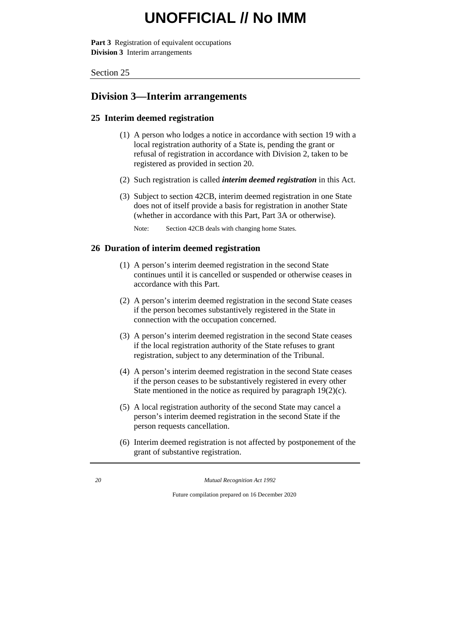**Part 3** Registration of equivalent occupations **Division 3** Interim arrangements

Section 25

### **Division 3—Interim arrangements**

### **25 Interim deemed registration**

- (1) A person who lodges a notice in accordance with section 19 with a local registration authority of a State is, pending the grant or refusal of registration in accordance with Division 2, taken to be registered as provided in section 20.
- (2) Such registration is called *interim deemed registration* in this Act.
- (3) Subject to section 42CB, interim deemed registration in one State does not of itself provide a basis for registration in another State (whether in accordance with this Part, Part 3A or otherwise).

Note: Section 42CB deals with changing home States.

### **26 Duration of interim deemed registration**

- (1) A person's interim deemed registration in the second State continues until it is cancelled or suspended or otherwise ceases in accordance with this Part.
- (2) A person's interim deemed registration in the second State ceases if the person becomes substantively registered in the State in connection with the occupation concerned.
- (3) A person's interim deemed registration in the second State ceases if the local registration authority of the State refuses to grant registration, subject to any determination of the Tribunal.
- (4) A person's interim deemed registration in the second State ceases if the person ceases to be substantively registered in every other State mentioned in the notice as required by paragraph 19(2)(c).
- (5) A local registration authority of the second State may cancel a person's interim deemed registration in the second State if the person requests cancellation.
- (6) Interim deemed registration is not affected by postponement of the grant of substantive registration.

*20 Mutual Recognition Act 1992*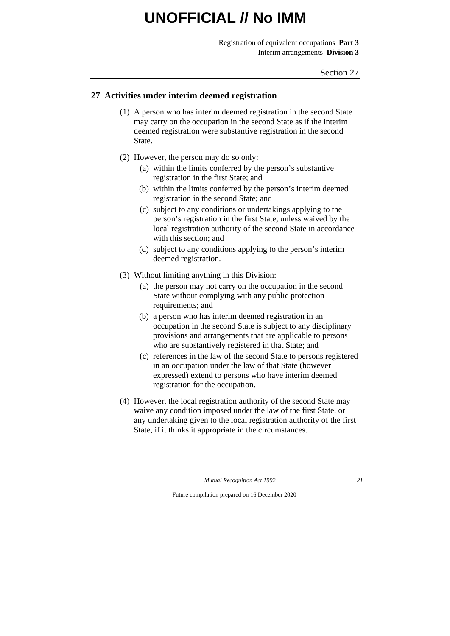Registration of equivalent occupations **Part 3** Interim arrangements **Division 3**

#### **27 Activities under interim deemed registration**

- (1) A person who has interim deemed registration in the second State may carry on the occupation in the second State as if the interim deemed registration were substantive registration in the second State.
- (2) However, the person may do so only:
	- (a) within the limits conferred by the person's substantive registration in the first State; and
	- (b) within the limits conferred by the person's interim deemed registration in the second State; and
	- (c) subject to any conditions or undertakings applying to the person's registration in the first State, unless waived by the local registration authority of the second State in accordance with this section; and
	- (d) subject to any conditions applying to the person's interim deemed registration.
- (3) Without limiting anything in this Division:
	- (a) the person may not carry on the occupation in the second State without complying with any public protection requirements; and
	- (b) a person who has interim deemed registration in an occupation in the second State is subject to any disciplinary provisions and arrangements that are applicable to persons who are substantively registered in that State; and
	- (c) references in the law of the second State to persons registered in an occupation under the law of that State (however expressed) extend to persons who have interim deemed registration for the occupation.
- (4) However, the local registration authority of the second State may waive any condition imposed under the law of the first State, or any undertaking given to the local registration authority of the first State, if it thinks it appropriate in the circumstances.

*Mutual Recognition Act 1992 21*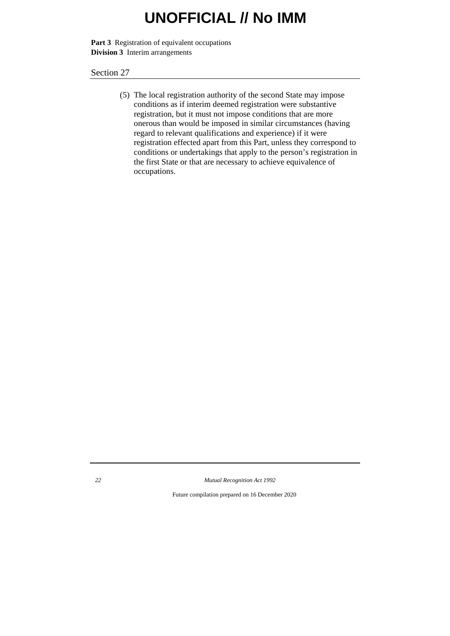**Part 3** Registration of equivalent occupations **Division 3** Interim arrangements

Section 27

(5) The local registration authority of the second State may impose conditions as if interim deemed registration were substantive registration, but it must not impose conditions that are more onerous than would be imposed in similar circumstances (having regard to relevant qualifications and experience) if it were registration effected apart from this Part, unless they correspond to conditions or undertakings that apply to the person's registration in the first State or that are necessary to achieve equivalence of occupations.

*22 Mutual Recognition Act 1992*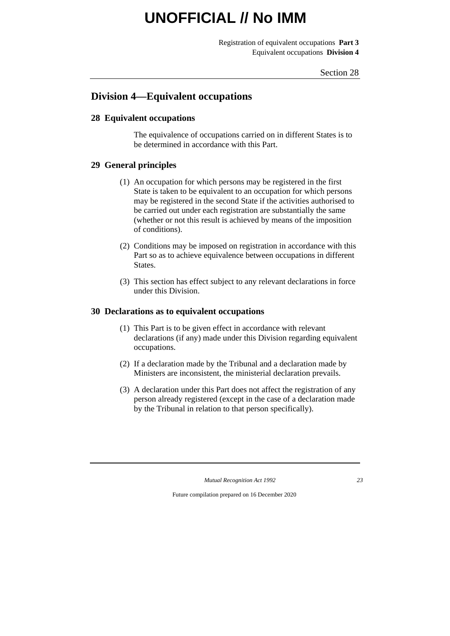Registration of equivalent occupations **Part 3** Equivalent occupations **Division 4**

### **Division 4—Equivalent occupations**

### **28 Equivalent occupations**

The equivalence of occupations carried on in different States is to be determined in accordance with this Part.

### **29 General principles**

- (1) An occupation for which persons may be registered in the first State is taken to be equivalent to an occupation for which persons may be registered in the second State if the activities authorised to be carried out under each registration are substantially the same (whether or not this result is achieved by means of the imposition of conditions).
- (2) Conditions may be imposed on registration in accordance with this Part so as to achieve equivalence between occupations in different States.
- (3) This section has effect subject to any relevant declarations in force under this Division.

#### **30 Declarations as to equivalent occupations**

- (1) This Part is to be given effect in accordance with relevant declarations (if any) made under this Division regarding equivalent occupations.
- (2) If a declaration made by the Tribunal and a declaration made by Ministers are inconsistent, the ministerial declaration prevails.
- (3) A declaration under this Part does not affect the registration of any person already registered (except in the case of a declaration made by the Tribunal in relation to that person specifically).

*Mutual Recognition Act 1992 23*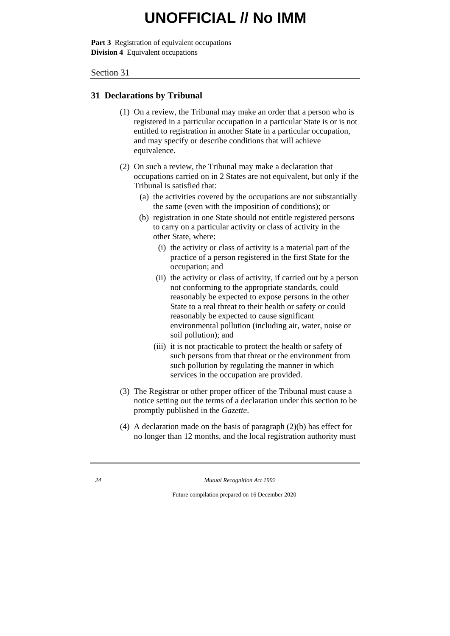**Part 3** Registration of equivalent occupations **Division 4** Equivalent occupations

Section 31

#### **31 Declarations by Tribunal**

- (1) On a review, the Tribunal may make an order that a person who is registered in a particular occupation in a particular State is or is not entitled to registration in another State in a particular occupation, and may specify or describe conditions that will achieve equivalence.
- (2) On such a review, the Tribunal may make a declaration that occupations carried on in 2 States are not equivalent, but only if the Tribunal is satisfied that:
	- (a) the activities covered by the occupations are not substantially the same (even with the imposition of conditions); or
	- (b) registration in one State should not entitle registered persons to carry on a particular activity or class of activity in the other State, where:
		- (i) the activity or class of activity is a material part of the practice of a person registered in the first State for the occupation; and
		- (ii) the activity or class of activity, if carried out by a person not conforming to the appropriate standards, could reasonably be expected to expose persons in the other State to a real threat to their health or safety or could reasonably be expected to cause significant environmental pollution (including air, water, noise or soil pollution); and
		- (iii) it is not practicable to protect the health or safety of such persons from that threat or the environment from such pollution by regulating the manner in which services in the occupation are provided.
- (3) The Registrar or other proper officer of the Tribunal must cause a notice setting out the terms of a declaration under this section to be promptly published in the *Gazette*.
- (4) A declaration made on the basis of paragraph (2)(b) has effect for no longer than 12 months, and the local registration authority must

*<sup>24</sup> Mutual Recognition Act 1992*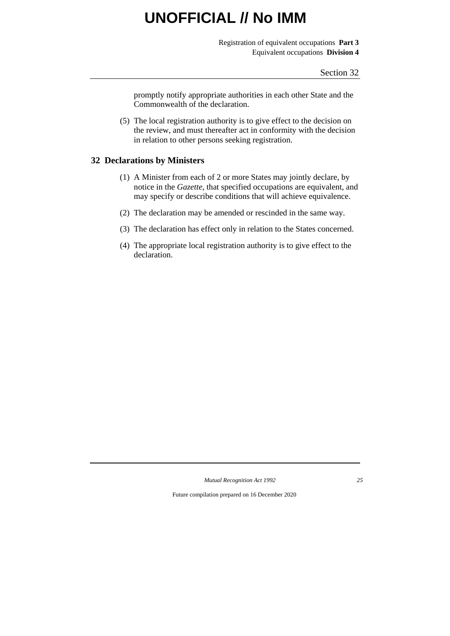Registration of equivalent occupations **Part 3** Equivalent occupations **Division 4**

promptly notify appropriate authorities in each other State and the Commonwealth of the declaration.

(5) The local registration authority is to give effect to the decision on the review, and must thereafter act in conformity with the decision in relation to other persons seeking registration.

### **32 Declarations by Ministers**

- (1) A Minister from each of 2 or more States may jointly declare, by notice in the *Gazette*, that specified occupations are equivalent, and may specify or describe conditions that will achieve equivalence.
- (2) The declaration may be amended or rescinded in the same way.
- (3) The declaration has effect only in relation to the States concerned.
- (4) The appropriate local registration authority is to give effect to the declaration.

*Mutual Recognition Act 1992 25*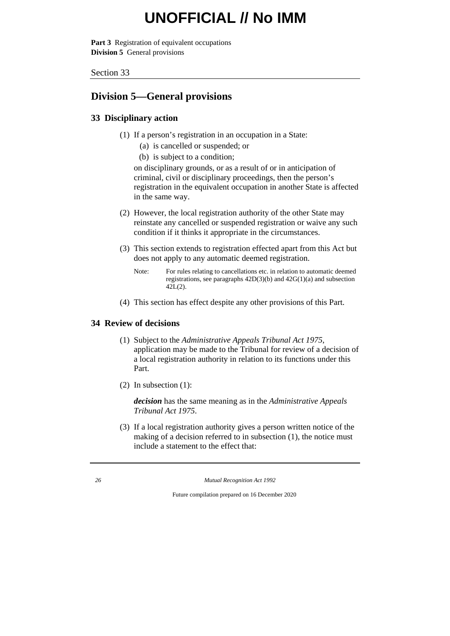**Part 3** Registration of equivalent occupations **Division 5** General provisions

Section 33

### **Division 5—General provisions**

### **33 Disciplinary action**

- (1) If a person's registration in an occupation in a State:
	- (a) is cancelled or suspended; or
	- (b) is subject to a condition;

on disciplinary grounds, or as a result of or in anticipation of criminal, civil or disciplinary proceedings, then the person's registration in the equivalent occupation in another State is affected in the same way.

- (2) However, the local registration authority of the other State may reinstate any cancelled or suspended registration or waive any such condition if it thinks it appropriate in the circumstances.
- (3) This section extends to registration effected apart from this Act but does not apply to any automatic deemed registration.
	- Note: For rules relating to cancellations etc. in relation to automatic deemed registrations, see paragraphs 42D(3)(b) and 42G(1)(a) and subsection  $42L(2)$ .
- (4) This section has effect despite any other provisions of this Part.

### **34 Review of decisions**

- (1) Subject to the *Administrative Appeals Tribunal Act 1975*, application may be made to the Tribunal for review of a decision of a local registration authority in relation to its functions under this Part.
- (2) In subsection (1):

*decision* has the same meaning as in the *Administrative Appeals Tribunal Act 1975*.

(3) If a local registration authority gives a person written notice of the making of a decision referred to in subsection (1), the notice must include a statement to the effect that:

*26 Mutual Recognition Act 1992*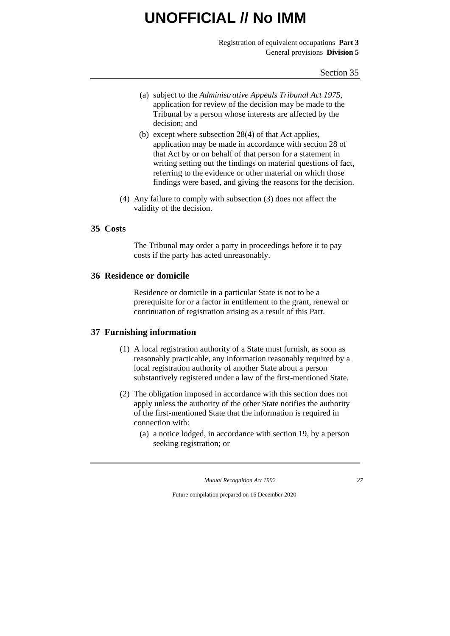Registration of equivalent occupations **Part 3** General provisions **Division 5**

- (a) subject to the *Administrative Appeals Tribunal Act 1975*, application for review of the decision may be made to the Tribunal by a person whose interests are affected by the decision; and
- (b) except where subsection 28(4) of that Act applies, application may be made in accordance with section 28 of that Act by or on behalf of that person for a statement in writing setting out the findings on material questions of fact, referring to the evidence or other material on which those findings were based, and giving the reasons for the decision.
- (4) Any failure to comply with subsection (3) does not affect the validity of the decision.

### **35 Costs**

The Tribunal may order a party in proceedings before it to pay costs if the party has acted unreasonably.

#### **36 Residence or domicile**

Residence or domicile in a particular State is not to be a prerequisite for or a factor in entitlement to the grant, renewal or continuation of registration arising as a result of this Part.

### **37 Furnishing information**

- (1) A local registration authority of a State must furnish, as soon as reasonably practicable, any information reasonably required by a local registration authority of another State about a person substantively registered under a law of the first-mentioned State.
- (2) The obligation imposed in accordance with this section does not apply unless the authority of the other State notifies the authority of the first-mentioned State that the information is required in connection with:
	- (a) a notice lodged, in accordance with section 19, by a person seeking registration; or

*Mutual Recognition Act 1992 27*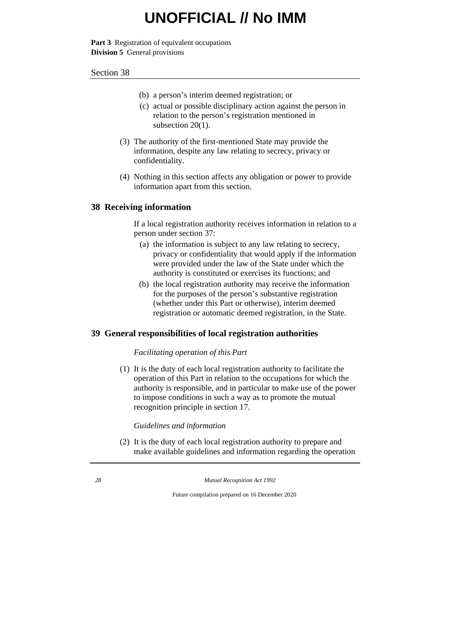**Part 3** Registration of equivalent occupations **Division 5** General provisions

#### Section 38

- (b) a person's interim deemed registration; or
- (c) actual or possible disciplinary action against the person in relation to the person's registration mentioned in subsection 20(1).
- (3) The authority of the first-mentioned State may provide the information, despite any law relating to secrecy, privacy or confidentiality.
- (4) Nothing in this section affects any obligation or power to provide information apart from this section.

### **38 Receiving information**

If a local registration authority receives information in relation to a person under section 37:

- (a) the information is subject to any law relating to secrecy, privacy or confidentiality that would apply if the information were provided under the law of the State under which the authority is constituted or exercises its functions; and
- (b) the local registration authority may receive the information for the purposes of the person's substantive registration (whether under this Part or otherwise), interim deemed registration or automatic deemed registration, in the State.

### **39 General responsibilities of local registration authorities**

### *Facilitating operation of this Part*

(1) It is the duty of each local registration authority to facilitate the operation of this Part in relation to the occupations for which the authority is responsible, and in particular to make use of the power to impose conditions in such a way as to promote the mutual recognition principle in section 17.

*Guidelines and information*

(2) It is the duty of each local registration authority to prepare and make available guidelines and information regarding the operation

*28 Mutual Recognition Act 1992*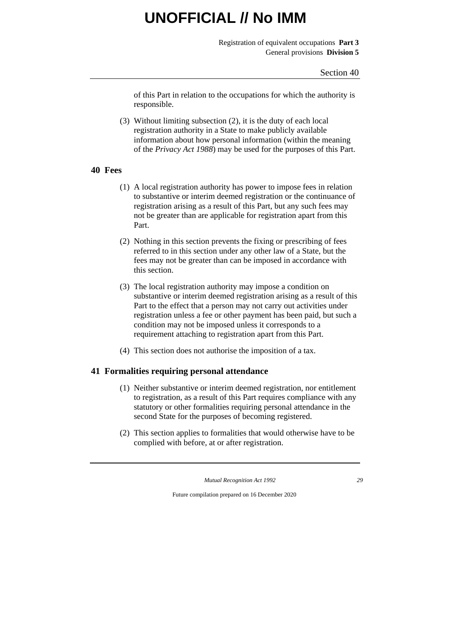Registration of equivalent occupations **Part 3** General provisions **Division 5**

of this Part in relation to the occupations for which the authority is responsible.

(3) Without limiting subsection (2), it is the duty of each local registration authority in a State to make publicly available information about how personal information (within the meaning of the *Privacy Act 1988*) may be used for the purposes of this Part.

### **40 Fees**

- (1) A local registration authority has power to impose fees in relation to substantive or interim deemed registration or the continuance of registration arising as a result of this Part, but any such fees may not be greater than are applicable for registration apart from this Part.
- (2) Nothing in this section prevents the fixing or prescribing of fees referred to in this section under any other law of a State, but the fees may not be greater than can be imposed in accordance with this section.
- (3) The local registration authority may impose a condition on substantive or interim deemed registration arising as a result of this Part to the effect that a person may not carry out activities under registration unless a fee or other payment has been paid, but such a condition may not be imposed unless it corresponds to a requirement attaching to registration apart from this Part.
- (4) This section does not authorise the imposition of a tax.

### **41 Formalities requiring personal attendance**

- (1) Neither substantive or interim deemed registration, nor entitlement to registration, as a result of this Part requires compliance with any statutory or other formalities requiring personal attendance in the second State for the purposes of becoming registered.
- (2) This section applies to formalities that would otherwise have to be complied with before, at or after registration.

*Mutual Recognition Act 1992 29*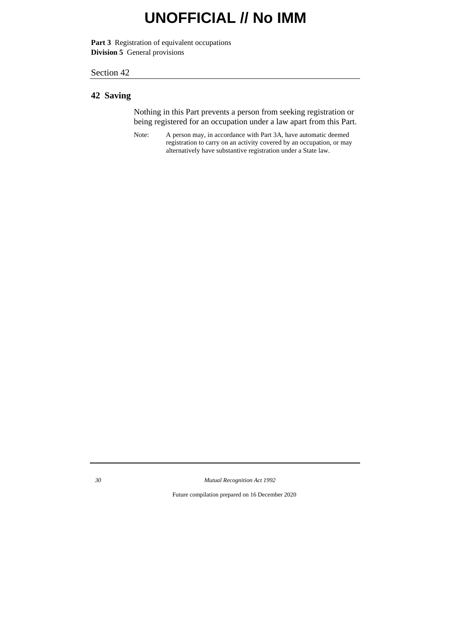**Part 3** Registration of equivalent occupations **Division 5** General provisions

#### Section 42

### **42 Saving**

Nothing in this Part prevents a person from seeking registration or being registered for an occupation under a law apart from this Part.

Note: A person may, in accordance with Part 3A, have automatic deemed registration to carry on an activity covered by an occupation, or may alternatively have substantive registration under a State law.

*30 Mutual Recognition Act 1992*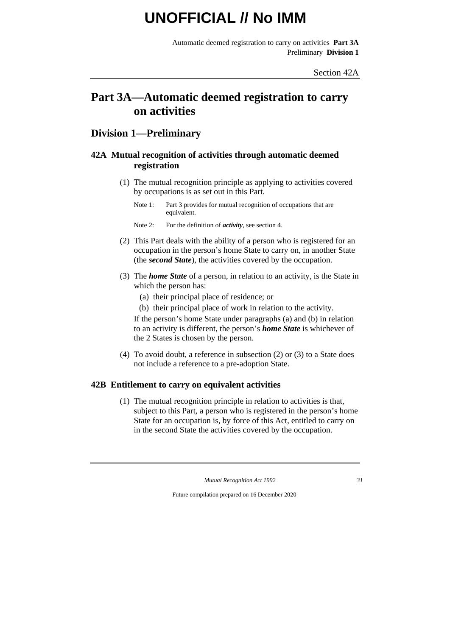Automatic deemed registration to carry on activities **Part 3A** Preliminary **Division 1**

## **Part 3A—Automatic deemed registration to carry on activities**

### **Division 1—Preliminary**

### **42A Mutual recognition of activities through automatic deemed registration**

- (1) The mutual recognition principle as applying to activities covered by occupations is as set out in this Part.
	- Note 1: Part 3 provides for mutual recognition of occupations that are equivalent.
	- Note 2: For the definition of *activity*, see section 4.
- (2) This Part deals with the ability of a person who is registered for an occupation in the person's home State to carry on, in another State (the *second State*), the activities covered by the occupation.
- (3) The *home State* of a person, in relation to an activity, is the State in which the person has:
	- (a) their principal place of residence; or
	- (b) their principal place of work in relation to the activity.

If the person's home State under paragraphs (a) and (b) in relation to an activity is different, the person's *home State* is whichever of the 2 States is chosen by the person.

(4) To avoid doubt, a reference in subsection (2) or (3) to a State does not include a reference to a pre-adoption State.

### **42B Entitlement to carry on equivalent activities**

(1) The mutual recognition principle in relation to activities is that, subject to this Part, a person who is registered in the person's home State for an occupation is, by force of this Act, entitled to carry on in the second State the activities covered by the occupation.

*Mutual Recognition Act 1992 31*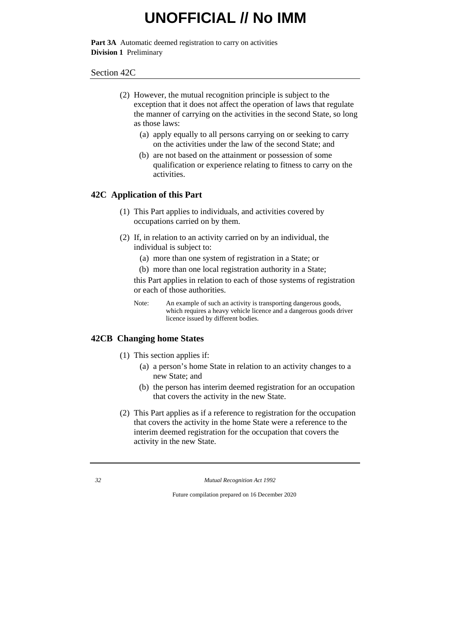Part 3A Automatic deemed registration to carry on activities **Division 1** Preliminary

#### Section 42C

- (2) However, the mutual recognition principle is subject to the exception that it does not affect the operation of laws that regulate the manner of carrying on the activities in the second State, so long as those laws:
	- (a) apply equally to all persons carrying on or seeking to carry on the activities under the law of the second State; and
	- (b) are not based on the attainment or possession of some qualification or experience relating to fitness to carry on the activities.

### **42C Application of this Part**

- (1) This Part applies to individuals, and activities covered by occupations carried on by them.
- (2) If, in relation to an activity carried on by an individual, the individual is subject to:
	- (a) more than one system of registration in a State; or
	- (b) more than one local registration authority in a State;

this Part applies in relation to each of those systems of registration or each of those authorities.

Note: An example of such an activity is transporting dangerous goods, which requires a heavy vehicle licence and a dangerous goods driver licence issued by different bodies.

### **42CB Changing home States**

- (1) This section applies if:
	- (a) a person's home State in relation to an activity changes to a new State; and
	- (b) the person has interim deemed registration for an occupation that covers the activity in the new State.
- (2) This Part applies as if a reference to registration for the occupation that covers the activity in the home State were a reference to the interim deemed registration for the occupation that covers the activity in the new State.

*<sup>32</sup> Mutual Recognition Act 1992*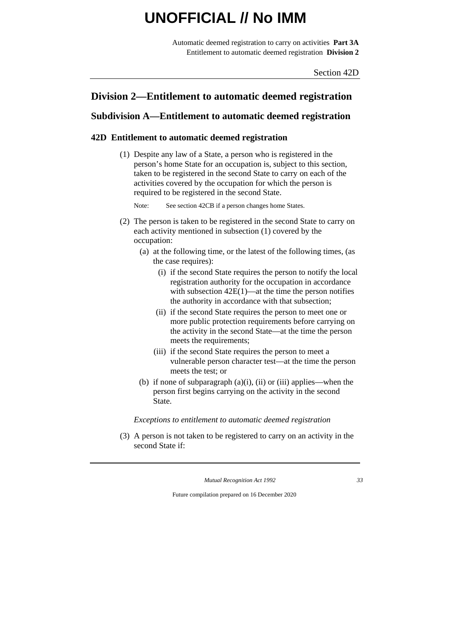Automatic deemed registration to carry on activities **Part 3A** Entitlement to automatic deemed registration **Division 2**

Section 42D

### **Division 2—Entitlement to automatic deemed registration**

### **Subdivision A—Entitlement to automatic deemed registration**

### **42D Entitlement to automatic deemed registration**

(1) Despite any law of a State, a person who is registered in the person's home State for an occupation is, subject to this section, taken to be registered in the second State to carry on each of the activities covered by the occupation for which the person is required to be registered in the second State.

Note: See section 42CB if a person changes home States.

- (2) The person is taken to be registered in the second State to carry on each activity mentioned in subsection (1) covered by the occupation:
	- (a) at the following time, or the latest of the following times, (as the case requires):
		- (i) if the second State requires the person to notify the local registration authority for the occupation in accordance with subsection  $42E(1)$ —at the time the person notifies the authority in accordance with that subsection;
		- (ii) if the second State requires the person to meet one or more public protection requirements before carrying on the activity in the second State—at the time the person meets the requirements;
		- (iii) if the second State requires the person to meet a vulnerable person character test—at the time the person meets the test; or
	- (b) if none of subparagraph  $(a)(i)$ ,  $(ii)$  or  $(iii)$  applies—when the person first begins carrying on the activity in the second State.

*Exceptions to entitlement to automatic deemed registration*

(3) A person is not taken to be registered to carry on an activity in the second State if:

*Mutual Recognition Act 1992 33*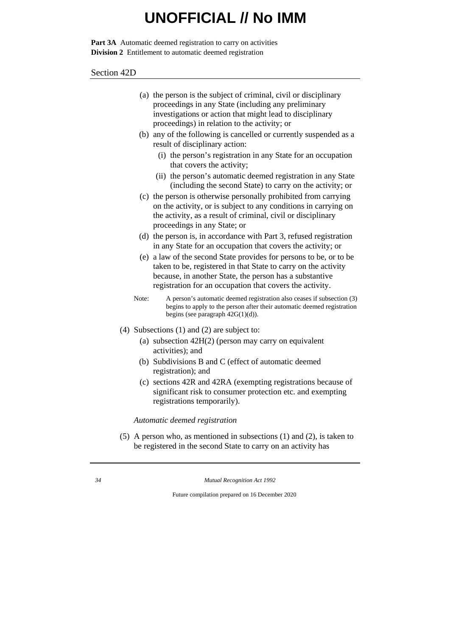Part 3A Automatic deemed registration to carry on activities **Division 2** Entitlement to automatic deemed registration

#### Section 42D

- (a) the person is the subject of criminal, civil or disciplinary proceedings in any State (including any preliminary investigations or action that might lead to disciplinary proceedings) in relation to the activity; or
- (b) any of the following is cancelled or currently suspended as a result of disciplinary action:
	- (i) the person's registration in any State for an occupation that covers the activity;
	- (ii) the person's automatic deemed registration in any State (including the second State) to carry on the activity; or
- (c) the person is otherwise personally prohibited from carrying on the activity, or is subject to any conditions in carrying on the activity, as a result of criminal, civil or disciplinary proceedings in any State; or
- (d) the person is, in accordance with Part 3, refused registration in any State for an occupation that covers the activity; or
- (e) a law of the second State provides for persons to be, or to be taken to be, registered in that State to carry on the activity because, in another State, the person has a substantive registration for an occupation that covers the activity.
- Note: A person's automatic deemed registration also ceases if subsection (3) begins to apply to the person after their automatic deemed registration begins (see paragraph 42G(1)(d)).
- (4) Subsections (1) and (2) are subject to:
	- (a) subsection 42H(2) (person may carry on equivalent activities); and
	- (b) Subdivisions B and C (effect of automatic deemed registration); and
	- (c) sections 42R and 42RA (exempting registrations because of significant risk to consumer protection etc. and exempting registrations temporarily).

*Automatic deemed registration*

(5) A person who, as mentioned in subsections (1) and (2), is taken to be registered in the second State to carry on an activity has

*34 Mutual Recognition Act 1992*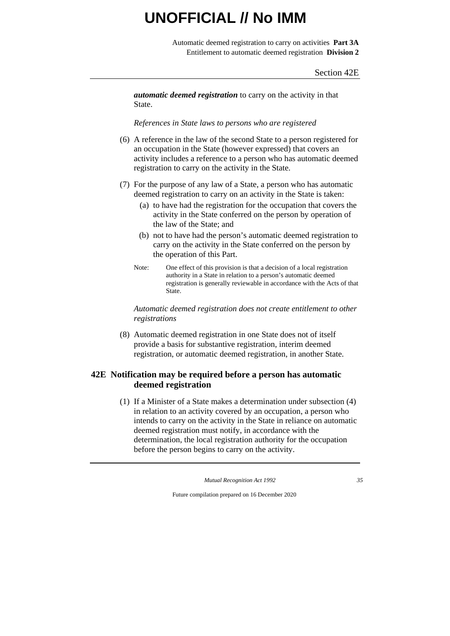Automatic deemed registration to carry on activities **Part 3A** Entitlement to automatic deemed registration **Division 2**

#### Section 42E

*automatic deemed registration* to carry on the activity in that State.

*References in State laws to persons who are registered*

- (6) A reference in the law of the second State to a person registered for an occupation in the State (however expressed) that covers an activity includes a reference to a person who has automatic deemed registration to carry on the activity in the State.
- (7) For the purpose of any law of a State, a person who has automatic deemed registration to carry on an activity in the State is taken:
	- (a) to have had the registration for the occupation that covers the activity in the State conferred on the person by operation of the law of the State; and
	- (b) not to have had the person's automatic deemed registration to carry on the activity in the State conferred on the person by the operation of this Part.
	- Note: One effect of this provision is that a decision of a local registration authority in a State in relation to a person's automatic deemed registration is generally reviewable in accordance with the Acts of that State.

*Automatic deemed registration does not create entitlement to other registrations*

(8) Automatic deemed registration in one State does not of itself provide a basis for substantive registration, interim deemed registration, or automatic deemed registration, in another State.

### **42E Notification may be required before a person has automatic deemed registration**

(1) If a Minister of a State makes a determination under subsection (4) in relation to an activity covered by an occupation, a person who intends to carry on the activity in the State in reliance on automatic deemed registration must notify, in accordance with the determination, the local registration authority for the occupation before the person begins to carry on the activity.

*Mutual Recognition Act 1992 35*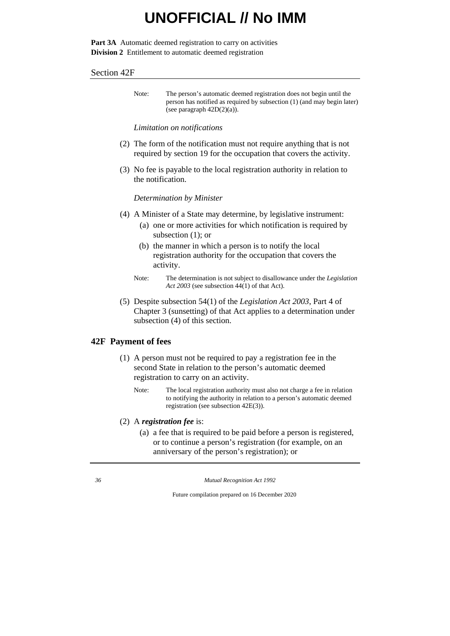Part 3A Automatic deemed registration to carry on activities **Division 2** Entitlement to automatic deemed registration

#### Section 42F

Note: The person's automatic deemed registration does not begin until the person has notified as required by subsection (1) (and may begin later) (see paragraph  $42D(2)(a)$ ).

#### *Limitation on notifications*

- (2) The form of the notification must not require anything that is not required by section 19 for the occupation that covers the activity.
- (3) No fee is payable to the local registration authority in relation to the notification.

#### *Determination by Minister*

- (4) A Minister of a State may determine, by legislative instrument:
	- (a) one or more activities for which notification is required by subsection (1); or
	- (b) the manner in which a person is to notify the local registration authority for the occupation that covers the activity.
	- Note: The determination is not subject to disallowance under the *Legislation Act 2003* (see subsection 44(1) of that Act).
- (5) Despite subsection 54(1) of the *Legislation Act 2003*, Part 4 of Chapter 3 (sunsetting) of that Act applies to a determination under subsection (4) of this section.

#### **42F Payment of fees**

- (1) A person must not be required to pay a registration fee in the second State in relation to the person's automatic deemed registration to carry on an activity.
	- Note: The local registration authority must also not charge a fee in relation to notifying the authority in relation to a person's automatic deemed registration (see subsection 42E(3)).
- (2) A *registration fee* is:
	- (a) a fee that is required to be paid before a person is registered, or to continue a person's registration (for example, on an anniversary of the person's registration); or

*36 Mutual Recognition Act 1992*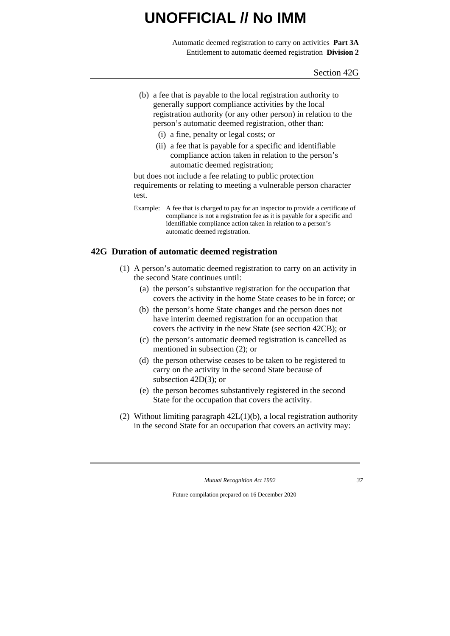Automatic deemed registration to carry on activities **Part 3A** Entitlement to automatic deemed registration **Division 2**

Section 42G

- (b) a fee that is payable to the local registration authority to generally support compliance activities by the local registration authority (or any other person) in relation to the person's automatic deemed registration, other than:
	- (i) a fine, penalty or legal costs; or
	- (ii) a fee that is payable for a specific and identifiable compliance action taken in relation to the person's automatic deemed registration;

but does not include a fee relating to public protection requirements or relating to meeting a vulnerable person character test.

Example: A fee that is charged to pay for an inspector to provide a certificate of compliance is not a registration fee as it is payable for a specific and identifiable compliance action taken in relation to a person's automatic deemed registration.

### **42G Duration of automatic deemed registration**

- (1) A person's automatic deemed registration to carry on an activity in the second State continues until:
	- (a) the person's substantive registration for the occupation that covers the activity in the home State ceases to be in force; or
	- (b) the person's home State changes and the person does not have interim deemed registration for an occupation that covers the activity in the new State (see section 42CB); or
	- (c) the person's automatic deemed registration is cancelled as mentioned in subsection (2); or
	- (d) the person otherwise ceases to be taken to be registered to carry on the activity in the second State because of subsection 42D(3); or
	- (e) the person becomes substantively registered in the second State for the occupation that covers the activity.
- (2) Without limiting paragraph 42L(1)(b), a local registration authority in the second State for an occupation that covers an activity may:

*Mutual Recognition Act 1992 37*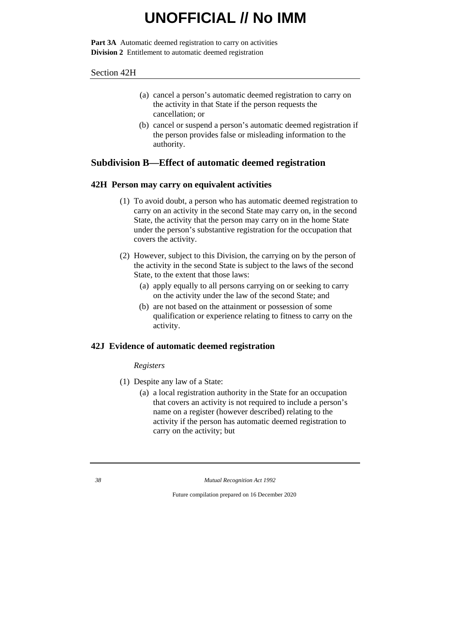Part 3A Automatic deemed registration to carry on activities **Division 2** Entitlement to automatic deemed registration

#### Section 42H

- (a) cancel a person's automatic deemed registration to carry on the activity in that State if the person requests the cancellation; or
- (b) cancel or suspend a person's automatic deemed registration if the person provides false or misleading information to the authority.

### **Subdivision B—Effect of automatic deemed registration**

### **42H Person may carry on equivalent activities**

- (1) To avoid doubt, a person who has automatic deemed registration to carry on an activity in the second State may carry on, in the second State, the activity that the person may carry on in the home State under the person's substantive registration for the occupation that covers the activity.
- (2) However, subject to this Division, the carrying on by the person of the activity in the second State is subject to the laws of the second State, to the extent that those laws:
	- (a) apply equally to all persons carrying on or seeking to carry on the activity under the law of the second State; and
	- (b) are not based on the attainment or possession of some qualification or experience relating to fitness to carry on the activity.

### **42J Evidence of automatic deemed registration**

#### *Registers*

- (1) Despite any law of a State:
	- (a) a local registration authority in the State for an occupation that covers an activity is not required to include a person's name on a register (however described) relating to the activity if the person has automatic deemed registration to carry on the activity; but

*<sup>38</sup> Mutual Recognition Act 1992*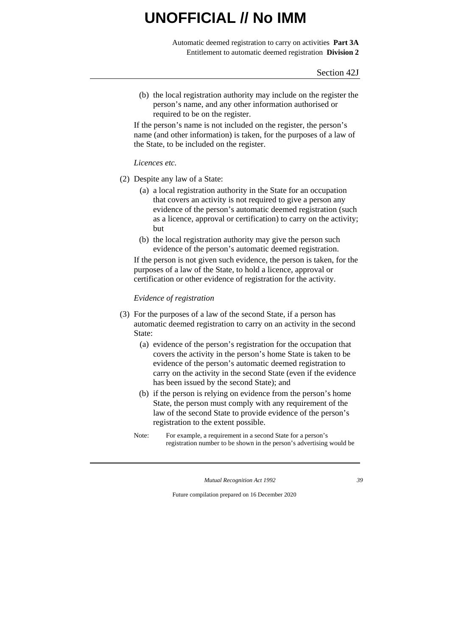Automatic deemed registration to carry on activities **Part 3A** Entitlement to automatic deemed registration **Division 2**

(b) the local registration authority may include on the register the person's name, and any other information authorised or required to be on the register.

If the person's name is not included on the register, the person's name (and other information) is taken, for the purposes of a law of the State, to be included on the register.

#### *Licences etc.*

- (2) Despite any law of a State:
	- (a) a local registration authority in the State for an occupation that covers an activity is not required to give a person any evidence of the person's automatic deemed registration (such as a licence, approval or certification) to carry on the activity; but
	- (b) the local registration authority may give the person such evidence of the person's automatic deemed registration.

If the person is not given such evidence, the person is taken, for the purposes of a law of the State, to hold a licence, approval or certification or other evidence of registration for the activity.

#### *Evidence of registration*

- (3) For the purposes of a law of the second State, if a person has automatic deemed registration to carry on an activity in the second State:
	- (a) evidence of the person's registration for the occupation that covers the activity in the person's home State is taken to be evidence of the person's automatic deemed registration to carry on the activity in the second State (even if the evidence has been issued by the second State); and
	- (b) if the person is relying on evidence from the person's home State, the person must comply with any requirement of the law of the second State to provide evidence of the person's registration to the extent possible.
	- Note: For example, a requirement in a second State for a person's registration number to be shown in the person's advertising would be

*Mutual Recognition Act 1992 39*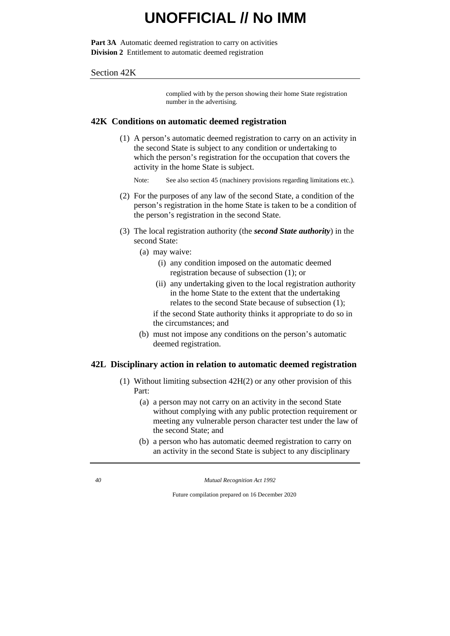Part 3A Automatic deemed registration to carry on activities **Division 2** Entitlement to automatic deemed registration

#### Section 42K

complied with by the person showing their home State registration number in the advertising.

#### **42K Conditions on automatic deemed registration**

(1) A person's automatic deemed registration to carry on an activity in the second State is subject to any condition or undertaking to which the person's registration for the occupation that covers the activity in the home State is subject.

Note: See also section 45 (machinery provisions regarding limitations etc.).

- (2) For the purposes of any law of the second State, a condition of the person's registration in the home State is taken to be a condition of the person's registration in the second State.
- (3) The local registration authority (the *second State authority*) in the second State:
	- (a) may waive:
		- (i) any condition imposed on the automatic deemed registration because of subsection (1); or
		- (ii) any undertaking given to the local registration authority in the home State to the extent that the undertaking relates to the second State because of subsection (1);
		- if the second State authority thinks it appropriate to do so in the circumstances; and
	- (b) must not impose any conditions on the person's automatic deemed registration.

#### **42L Disciplinary action in relation to automatic deemed registration**

- (1) Without limiting subsection 42H(2) or any other provision of this Part:
	- (a) a person may not carry on an activity in the second State without complying with any public protection requirement or meeting any vulnerable person character test under the law of the second State; and
	- (b) a person who has automatic deemed registration to carry on an activity in the second State is subject to any disciplinary

*40 Mutual Recognition Act 1992*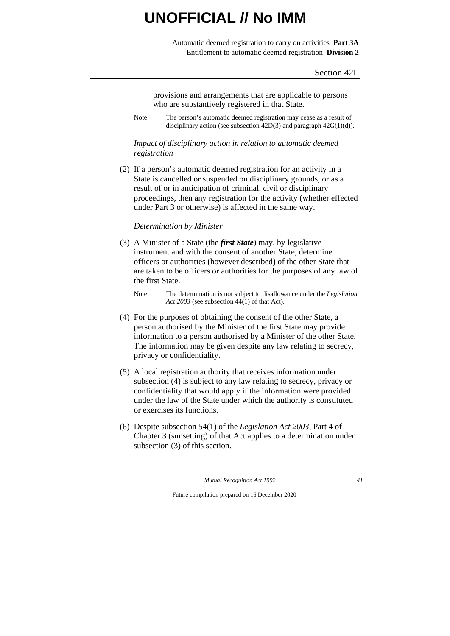Automatic deemed registration to carry on activities **Part 3A** Entitlement to automatic deemed registration **Division 2**

provisions and arrangements that are applicable to persons who are substantively registered in that State.

Note: The person's automatic deemed registration may cease as a result of disciplinary action (see subsection  $42D(3)$  and paragraph  $42G(1)(d)$ ).

#### *Impact of disciplinary action in relation to automatic deemed registration*

(2) If a person's automatic deemed registration for an activity in a State is cancelled or suspended on disciplinary grounds, or as a result of or in anticipation of criminal, civil or disciplinary proceedings, then any registration for the activity (whether effected under Part 3 or otherwise) is affected in the same way.

#### *Determination by Minister*

- (3) A Minister of a State (the *first State*) may, by legislative instrument and with the consent of another State, determine officers or authorities (however described) of the other State that are taken to be officers or authorities for the purposes of any law of the first State.
	- Note: The determination is not subject to disallowance under the *Legislation Act 2003* (see subsection 44(1) of that Act).
- (4) For the purposes of obtaining the consent of the other State, a person authorised by the Minister of the first State may provide information to a person authorised by a Minister of the other State. The information may be given despite any law relating to secrecy, privacy or confidentiality.
- (5) A local registration authority that receives information under subsection (4) is subject to any law relating to secrecy, privacy or confidentiality that would apply if the information were provided under the law of the State under which the authority is constituted or exercises its functions.
- (6) Despite subsection 54(1) of the *Legislation Act 2003*, Part 4 of Chapter 3 (sunsetting) of that Act applies to a determination under subsection (3) of this section.

*Mutual Recognition Act 1992 41*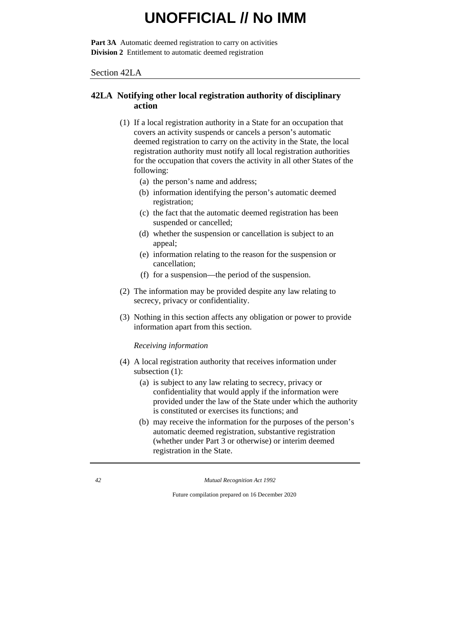Part 3A Automatic deemed registration to carry on activities **Division 2** Entitlement to automatic deemed registration

Section 42LA

### **42LA Notifying other local registration authority of disciplinary action**

- (1) If a local registration authority in a State for an occupation that covers an activity suspends or cancels a person's automatic deemed registration to carry on the activity in the State, the local registration authority must notify all local registration authorities for the occupation that covers the activity in all other States of the following:
	- (a) the person's name and address;
	- (b) information identifying the person's automatic deemed registration;
	- (c) the fact that the automatic deemed registration has been suspended or cancelled;
	- (d) whether the suspension or cancellation is subject to an appeal;
	- (e) information relating to the reason for the suspension or cancellation;
	- (f) for a suspension—the period of the suspension.
- (2) The information may be provided despite any law relating to secrecy, privacy or confidentiality.
- (3) Nothing in this section affects any obligation or power to provide information apart from this section.

*Receiving information*

- (4) A local registration authority that receives information under subsection (1):
	- (a) is subject to any law relating to secrecy, privacy or confidentiality that would apply if the information were provided under the law of the State under which the authority is constituted or exercises its functions; and
	- (b) may receive the information for the purposes of the person's automatic deemed registration, substantive registration (whether under Part 3 or otherwise) or interim deemed registration in the State.

*42 Mutual Recognition Act 1992*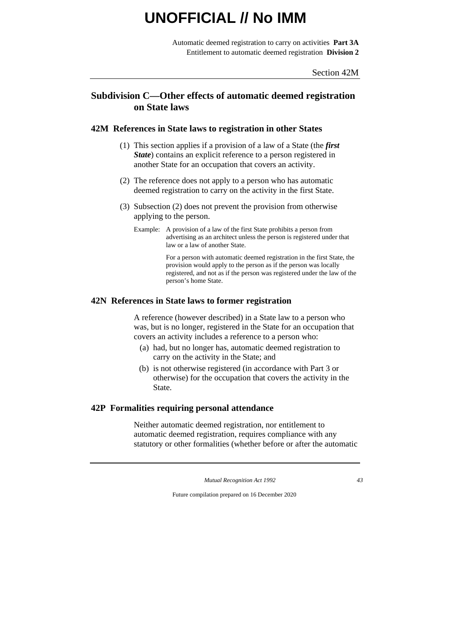Automatic deemed registration to carry on activities **Part 3A** Entitlement to automatic deemed registration **Division 2**

### **Subdivision C—Other effects of automatic deemed registration on State laws**

#### **42M References in State laws to registration in other States**

- (1) This section applies if a provision of a law of a State (the *first State*) contains an explicit reference to a person registered in another State for an occupation that covers an activity.
- (2) The reference does not apply to a person who has automatic deemed registration to carry on the activity in the first State.
- (3) Subsection (2) does not prevent the provision from otherwise applying to the person.
	- Example: A provision of a law of the first State prohibits a person from advertising as an architect unless the person is registered under that law or a law of another State.

For a person with automatic deemed registration in the first State, the provision would apply to the person as if the person was locally registered, and not as if the person was registered under the law of the person's home State.

#### **42N References in State laws to former registration**

A reference (however described) in a State law to a person who was, but is no longer, registered in the State for an occupation that covers an activity includes a reference to a person who:

- (a) had, but no longer has, automatic deemed registration to carry on the activity in the State; and
- (b) is not otherwise registered (in accordance with Part 3 or otherwise) for the occupation that covers the activity in the State.

### **42P Formalities requiring personal attendance**

Neither automatic deemed registration, nor entitlement to automatic deemed registration, requires compliance with any statutory or other formalities (whether before or after the automatic

*Mutual Recognition Act 1992 43*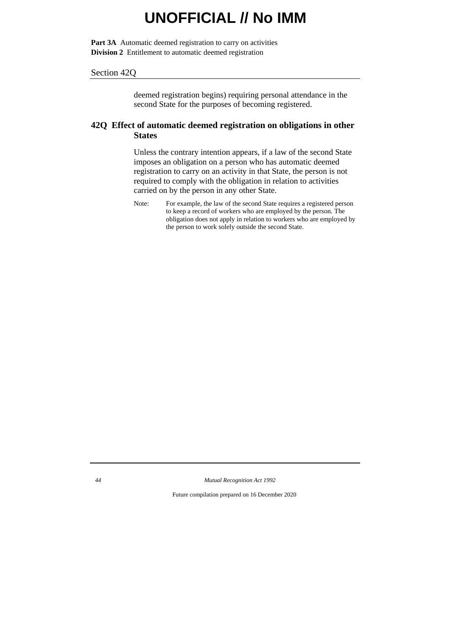Part 3A Automatic deemed registration to carry on activities **Division 2** Entitlement to automatic deemed registration

#### Section 42Q

deemed registration begins) requiring personal attendance in the second State for the purposes of becoming registered.

### **42Q Effect of automatic deemed registration on obligations in other States**

Unless the contrary intention appears, if a law of the second State imposes an obligation on a person who has automatic deemed registration to carry on an activity in that State, the person is not required to comply with the obligation in relation to activities carried on by the person in any other State.

Note: For example, the law of the second State requires a registered person to keep a record of workers who are employed by the person. The obligation does not apply in relation to workers who are employed by the person to work solely outside the second State.

*44 Mutual Recognition Act 1992*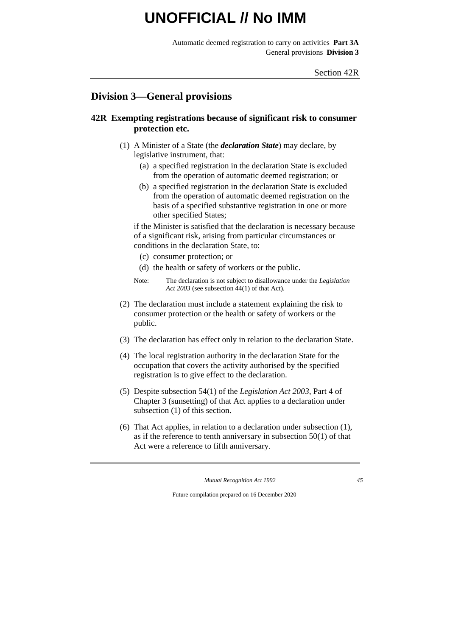Automatic deemed registration to carry on activities **Part 3A** General provisions **Division 3**

### **Division 3—General provisions**

### **42R Exempting registrations because of significant risk to consumer protection etc.**

- (1) A Minister of a State (the *declaration State*) may declare, by legislative instrument, that:
	- (a) a specified registration in the declaration State is excluded from the operation of automatic deemed registration; or
	- (b) a specified registration in the declaration State is excluded from the operation of automatic deemed registration on the basis of a specified substantive registration in one or more other specified States;

if the Minister is satisfied that the declaration is necessary because of a significant risk, arising from particular circumstances or conditions in the declaration State, to:

- (c) consumer protection; or
- (d) the health or safety of workers or the public.
- Note: The declaration is not subject to disallowance under the *Legislation Act 2003* (see subsection 44(1) of that Act).
- (2) The declaration must include a statement explaining the risk to consumer protection or the health or safety of workers or the public.
- (3) The declaration has effect only in relation to the declaration State.
- (4) The local registration authority in the declaration State for the occupation that covers the activity authorised by the specified registration is to give effect to the declaration.
- (5) Despite subsection 54(1) of the *Legislation Act 2003*, Part 4 of Chapter 3 (sunsetting) of that Act applies to a declaration under subsection (1) of this section.
- (6) That Act applies, in relation to a declaration under subsection (1), as if the reference to tenth anniversary in subsection 50(1) of that Act were a reference to fifth anniversary.

*Mutual Recognition Act 1992 45*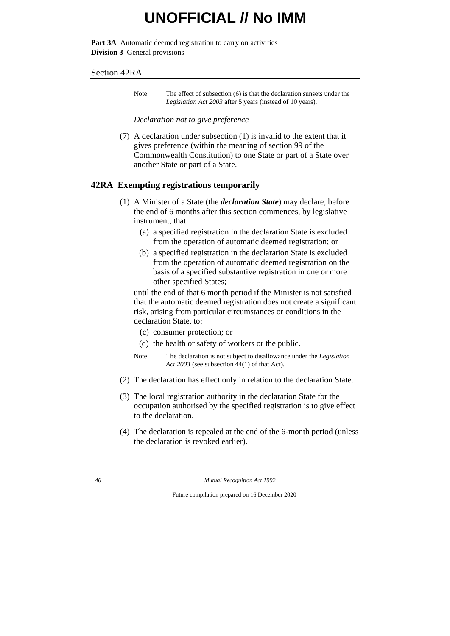Part 3A Automatic deemed registration to carry on activities **Division 3** General provisions

#### Section 42RA

Note: The effect of subsection (6) is that the declaration sunsets under the *Legislation Act 2003* after 5 years (instead of 10 years).

#### *Declaration not to give preference*

(7) A declaration under subsection (1) is invalid to the extent that it gives preference (within the meaning of section 99 of the Commonwealth Constitution) to one State or part of a State over another State or part of a State.

#### **42RA Exempting registrations temporarily**

- (1) A Minister of a State (the *declaration State*) may declare, before the end of 6 months after this section commences, by legislative instrument, that:
	- (a) a specified registration in the declaration State is excluded from the operation of automatic deemed registration; or
	- (b) a specified registration in the declaration State is excluded from the operation of automatic deemed registration on the basis of a specified substantive registration in one or more other specified States;

until the end of that 6 month period if the Minister is not satisfied that the automatic deemed registration does not create a significant risk, arising from particular circumstances or conditions in the declaration State, to:

- (c) consumer protection; or
- (d) the health or safety of workers or the public.
- Note: The declaration is not subject to disallowance under the *Legislation Act 2003* (see subsection 44(1) of that Act).
- (2) The declaration has effect only in relation to the declaration State.
- (3) The local registration authority in the declaration State for the occupation authorised by the specified registration is to give effect to the declaration.
- (4) The declaration is repealed at the end of the 6-month period (unless the declaration is revoked earlier).

*46 Mutual Recognition Act 1992*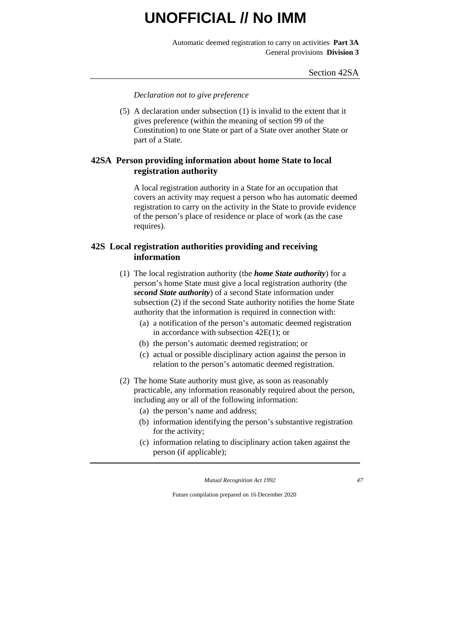Automatic deemed registration to carry on activities **Part 3A** General provisions **Division 3**

*Declaration not to give preference*

(5) A declaration under subsection (1) is invalid to the extent that it gives preference (within the meaning of section 99 of the Constitution) to one State or part of a State over another State or part of a State.

### **42SA Person providing information about home State to local registration authority**

A local registration authority in a State for an occupation that covers an activity may request a person who has automatic deemed registration to carry on the activity in the State to provide evidence of the person's place of residence or place of work (as the case requires).

### **42S Local registration authorities providing and receiving information**

- (1) The local registration authority (the *home State authority*) for a person's home State must give a local registration authority (the *second State authority*) of a second State information under subsection (2) if the second State authority notifies the home State authority that the information is required in connection with:
	- (a) a notification of the person's automatic deemed registration in accordance with subsection 42E(1); or
	- (b) the person's automatic deemed registration; or
	- (c) actual or possible disciplinary action against the person in relation to the person's automatic deemed registration.
- (2) The home State authority must give, as soon as reasonably practicable, any information reasonably required about the person, including any or all of the following information:
	- (a) the person's name and address;
	- (b) information identifying the person's substantive registration for the activity;
	- (c) information relating to disciplinary action taken against the person (if applicable);

*Mutual Recognition Act 1992 47*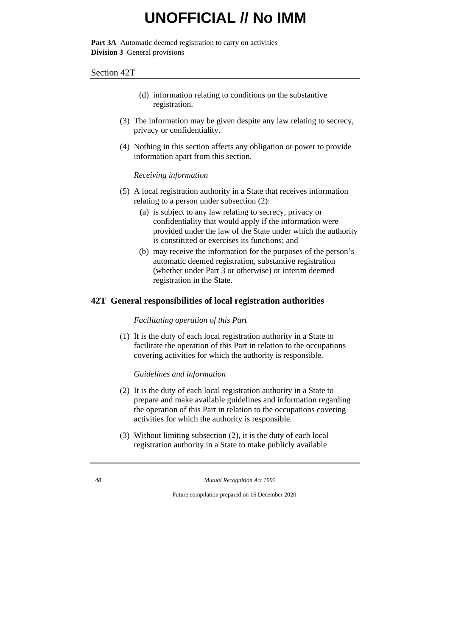Part 3A Automatic deemed registration to carry on activities **Division 3** General provisions

#### Section 42T

- (d) information relating to conditions on the substantive registration.
- (3) The information may be given despite any law relating to secrecy, privacy or confidentiality.
- (4) Nothing in this section affects any obligation or power to provide information apart from this section.

#### *Receiving information*

- (5) A local registration authority in a State that receives information relating to a person under subsection (2):
	- (a) is subject to any law relating to secrecy, privacy or confidentiality that would apply if the information were provided under the law of the State under which the authority is constituted or exercises its functions; and
	- (b) may receive the information for the purposes of the person's automatic deemed registration, substantive registration (whether under Part 3 or otherwise) or interim deemed registration in the State.

### **42T General responsibilities of local registration authorities**

*Facilitating operation of this Part*

(1) It is the duty of each local registration authority in a State to facilitate the operation of this Part in relation to the occupations covering activities for which the authority is responsible.

### *Guidelines and information*

- (2) It is the duty of each local registration authority in a State to prepare and make available guidelines and information regarding the operation of this Part in relation to the occupations covering activities for which the authority is responsible.
- (3) Without limiting subsection (2), it is the duty of each local registration authority in a State to make publicly available

*48 Mutual Recognition Act 1992*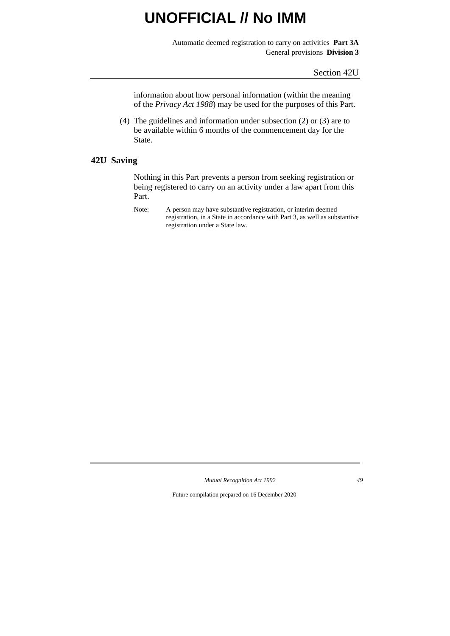Automatic deemed registration to carry on activities **Part 3A** General provisions **Division 3**

Section 42U

information about how personal information (within the meaning of the *Privacy Act 1988*) may be used for the purposes of this Part.

(4) The guidelines and information under subsection (2) or (3) are to be available within 6 months of the commencement day for the State.

### **42U Saving**

Nothing in this Part prevents a person from seeking registration or being registered to carry on an activity under a law apart from this Part.

Note: A person may have substantive registration, or interim deemed registration, in a State in accordance with Part 3, as well as substantive registration under a State law.

*Mutual Recognition Act 1992 49*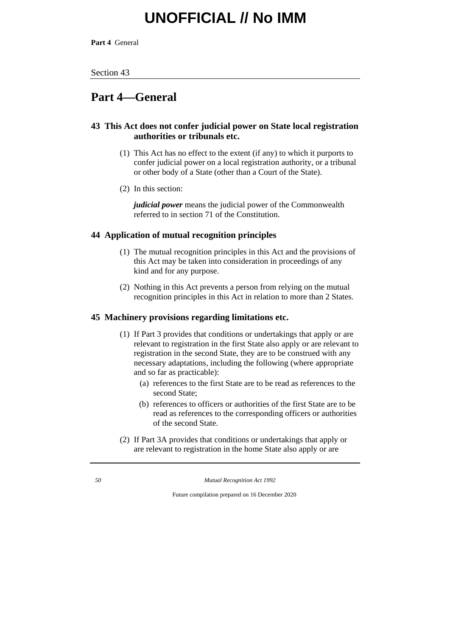**Part 4** General

#### Section 43

### **Part 4—General**

### **43 This Act does not confer judicial power on State local registration authorities or tribunals etc.**

- (1) This Act has no effect to the extent (if any) to which it purports to confer judicial power on a local registration authority, or a tribunal or other body of a State (other than a Court of the State).
- (2) In this section:

*judicial power* means the judicial power of the Commonwealth referred to in section 71 of the Constitution.

### **44 Application of mutual recognition principles**

- (1) The mutual recognition principles in this Act and the provisions of this Act may be taken into consideration in proceedings of any kind and for any purpose.
- (2) Nothing in this Act prevents a person from relying on the mutual recognition principles in this Act in relation to more than 2 States.

#### **45 Machinery provisions regarding limitations etc.**

- (1) If Part 3 provides that conditions or undertakings that apply or are relevant to registration in the first State also apply or are relevant to registration in the second State, they are to be construed with any necessary adaptations, including the following (where appropriate and so far as practicable):
	- (a) references to the first State are to be read as references to the second State;
	- (b) references to officers or authorities of the first State are to be read as references to the corresponding officers or authorities of the second State.
- (2) If Part 3A provides that conditions or undertakings that apply or are relevant to registration in the home State also apply or are

*50 Mutual Recognition Act 1992*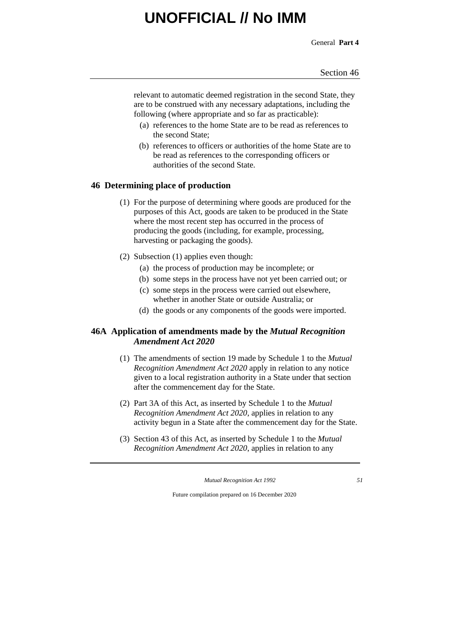General **Part 4**

relevant to automatic deemed registration in the second State, they are to be construed with any necessary adaptations, including the following (where appropriate and so far as practicable):

- (a) references to the home State are to be read as references to the second State;
- (b) references to officers or authorities of the home State are to be read as references to the corresponding officers or authorities of the second State.

### **46 Determining place of production**

- (1) For the purpose of determining where goods are produced for the purposes of this Act, goods are taken to be produced in the State where the most recent step has occurred in the process of producing the goods (including, for example, processing, harvesting or packaging the goods).
- (2) Subsection (1) applies even though:
	- (a) the process of production may be incomplete; or
	- (b) some steps in the process have not yet been carried out; or
	- (c) some steps in the process were carried out elsewhere, whether in another State or outside Australia; or
	- (d) the goods or any components of the goods were imported.

### **46A Application of amendments made by the** *Mutual Recognition Amendment Act 2020*

- (1) The amendments of section 19 made by Schedule 1 to the *Mutual Recognition Amendment Act 2020* apply in relation to any notice given to a local registration authority in a State under that section after the commencement day for the State.
- (2) Part 3A of this Act, as inserted by Schedule 1 to the *Mutual Recognition Amendment Act 2020*, applies in relation to any activity begun in a State after the commencement day for the State.
- (3) Section 43 of this Act, as inserted by Schedule 1 to the *Mutual Recognition Amendment Act 2020*, applies in relation to any

*Mutual Recognition Act 1992 51*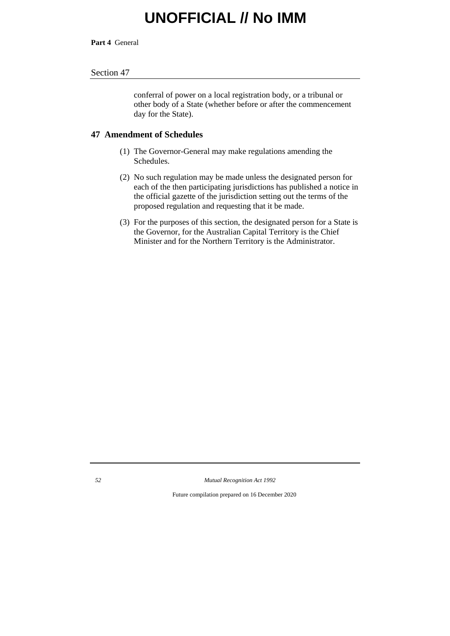**Part 4** General

#### Section 47

conferral of power on a local registration body, or a tribunal or other body of a State (whether before or after the commencement day for the State).

#### **47 Amendment of Schedules**

- (1) The Governor-General may make regulations amending the Schedules.
- (2) No such regulation may be made unless the designated person for each of the then participating jurisdictions has published a notice in the official gazette of the jurisdiction setting out the terms of the proposed regulation and requesting that it be made.
- (3) For the purposes of this section, the designated person for a State is the Governor, for the Australian Capital Territory is the Chief Minister and for the Northern Territory is the Administrator.

*52 Mutual Recognition Act 1992*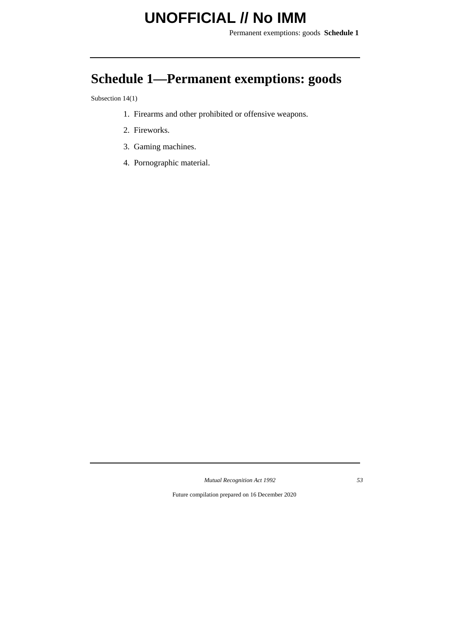Permanent exemptions: goods **Schedule 1**

## **Schedule 1—Permanent exemptions: goods**

Subsection 14(1)

- 1. Firearms and other prohibited or offensive weapons.
- 2. Fireworks.
- 3. Gaming machines.
- 4. Pornographic material.

*Mutual Recognition Act 1992 53*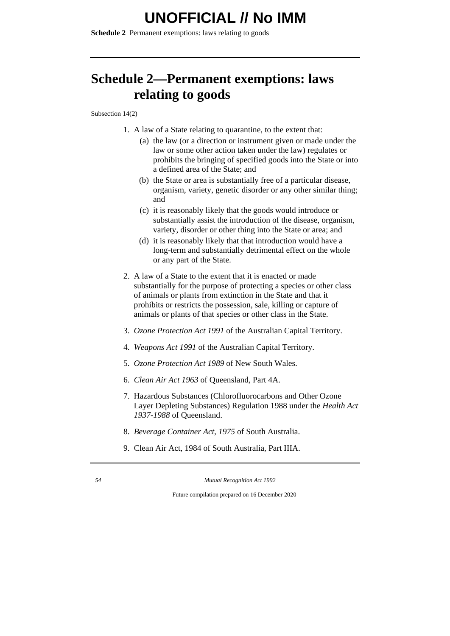**Schedule 2** Permanent exemptions: laws relating to goods

## **Schedule 2—Permanent exemptions: laws relating to goods**

Subsection 14(2)

- 1. A law of a State relating to quarantine, to the extent that:
	- (a) the law (or a direction or instrument given or made under the law or some other action taken under the law) regulates or prohibits the bringing of specified goods into the State or into a defined area of the State; and
	- (b) the State or area is substantially free of a particular disease, organism, variety, genetic disorder or any other similar thing; and
	- (c) it is reasonably likely that the goods would introduce or substantially assist the introduction of the disease, organism, variety, disorder or other thing into the State or area; and
	- (d) it is reasonably likely that that introduction would have a long-term and substantially detrimental effect on the whole or any part of the State.
- 2. A law of a State to the extent that it is enacted or made substantially for the purpose of protecting a species or other class of animals or plants from extinction in the State and that it prohibits or restricts the possession, sale, killing or capture of animals or plants of that species or other class in the State.
- 3. *Ozone Protection Act 1991* of the Australian Capital Territory.
- 4. *Weapons Act 1991* of the Australian Capital Territory.
- 5. *Ozone Protection Act 1989* of New South Wales.
- 6. *Clean Air Act 1963* of Queensland, Part 4A.
- 7. Hazardous Substances (Chlorofluorocarbons and Other Ozone Layer Depleting Substances) Regulation 1988 under the *Health Act 1937-1988* of Queensland.
- 8. *Beverage Container Act, 1975* of South Australia.
- 9. Clean Air Act, 1984 of South Australia, Part IIIA.

*54 Mutual Recognition Act 1992*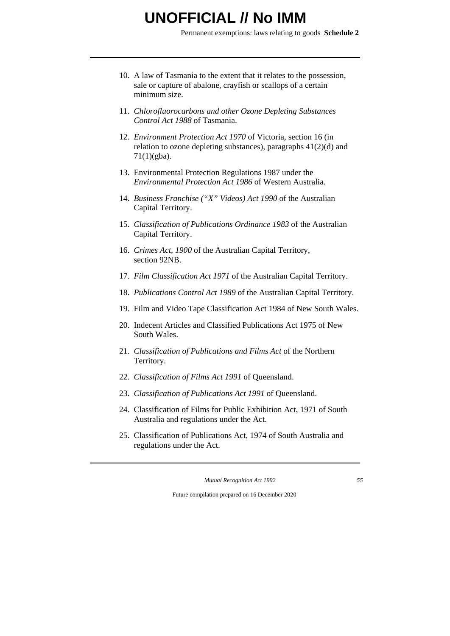Permanent exemptions: laws relating to goods **Schedule 2**

- 10. A law of Tasmania to the extent that it relates to the possession, sale or capture of abalone, crayfish or scallops of a certain minimum size.
- 11. *Chlorofluorocarbons and other Ozone Depleting Substances Control Act 1988* of Tasmania.
- 12. *Environment Protection Act 1970* of Victoria, section 16 (in relation to ozone depleting substances), paragraphs 41(2)(d) and  $71(1)(gba)$ .
- 13. Environmental Protection Regulations 1987 under the *Environmental Protection Act 1986* of Western Australia.
- 14. *Business Franchise ("X" Videos) Act 1990* of the Australian Capital Territory.
- 15. *Classification of Publications Ordinance 1983* of the Australian Capital Territory.
- 16. *Crimes Act, 1900* of the Australian Capital Territory, section 92NB.
- 17. *Film Classification Act 1971* of the Australian Capital Territory.
- 18. *Publications Control Act 1989* of the Australian Capital Territory.
- 19. Film and Video Tape Classification Act 1984 of New South Wales.
- 20. Indecent Articles and Classified Publications Act 1975 of New South Wales.
- 21. *Classification of Publications and Films Act* of the Northern Territory.
- 22. *Classification of Films Act 1991* of Queensland.
- 23. *Classification of Publications Act 1991* of Queensland.
- 24. Classification of Films for Public Exhibition Act, 1971 of South Australia and regulations under the Act.
- 25. Classification of Publications Act, 1974 of South Australia and regulations under the Act.

*Mutual Recognition Act 1992 55*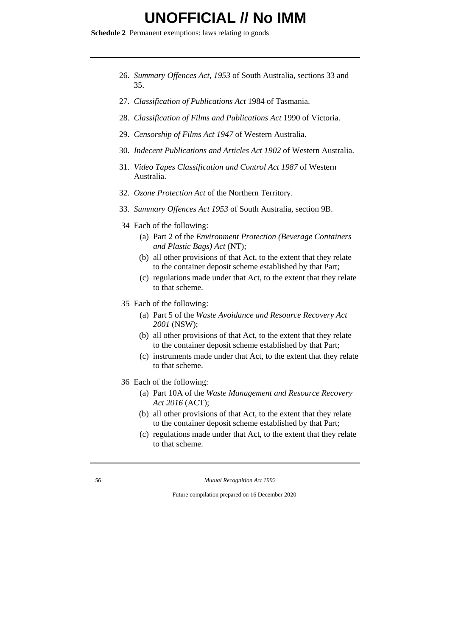**Schedule 2** Permanent exemptions: laws relating to goods

- 26. *Summary Offences Act, 1953* of South Australia, sections 33 and 35.
- 27. *Classification of Publications Act* 1984 of Tasmania.
- 28. *Classification of Films and Publications Act* 1990 of Victoria.
- 29. *Censorship of Films Act 1947* of Western Australia.
- 30. *Indecent Publications and Articles Act 1902* of Western Australia.
- 31. *Video Tapes Classification and Control Act 1987* of Western Australia.
- 32. *Ozone Protection Act* of the Northern Territory.
- 33. *Summary Offences Act 1953* of South Australia, section 9B.
- 34 Each of the following:
	- (a) Part 2 of the *Environment Protection (Beverage Containers and Plastic Bags) Act* (NT);
	- (b) all other provisions of that Act, to the extent that they relate to the container deposit scheme established by that Part;
	- (c) regulations made under that Act, to the extent that they relate to that scheme.
- 35 Each of the following:
	- (a) Part 5 of the *Waste Avoidance and Resource Recovery Act 2001* (NSW);
	- (b) all other provisions of that Act, to the extent that they relate to the container deposit scheme established by that Part;
	- (c) instruments made under that Act, to the extent that they relate to that scheme.
- 36 Each of the following:
	- (a) Part 10A of the *Waste Management and Resource Recovery Act 2016* (ACT);
	- (b) all other provisions of that Act, to the extent that they relate to the container deposit scheme established by that Part;
	- (c) regulations made under that Act, to the extent that they relate to that scheme.

*56 Mutual Recognition Act 1992*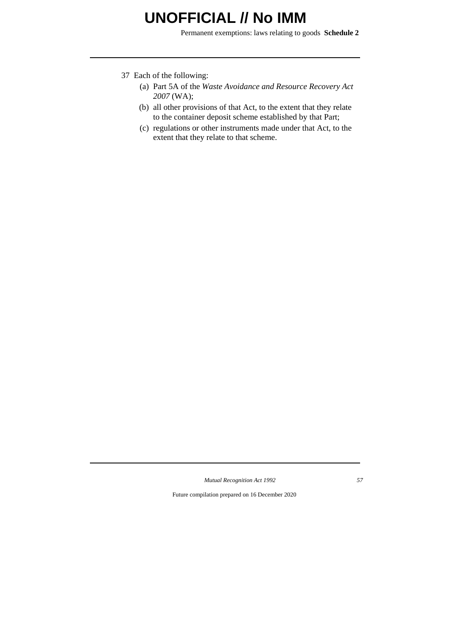Permanent exemptions: laws relating to goods **Schedule 2**

- 37 Each of the following:
	- (a) Part 5A of the *Waste Avoidance and Resource Recovery Act 2007* (WA);
	- (b) all other provisions of that Act, to the extent that they relate to the container deposit scheme established by that Part;
	- (c) regulations or other instruments made under that Act, to the extent that they relate to that scheme.

*Mutual Recognition Act 1992 57*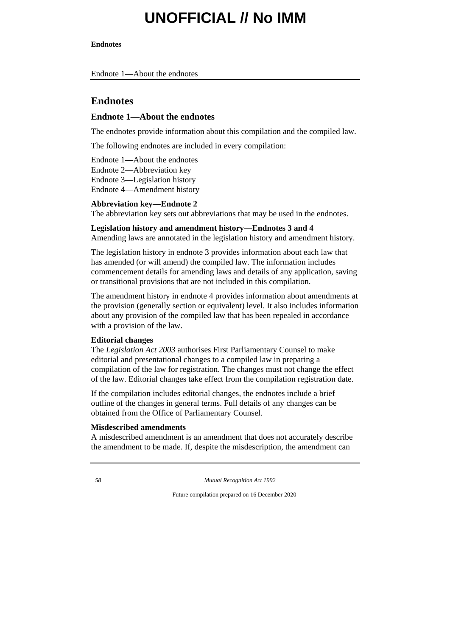#### **Endnotes**

Endnote 1—About the endnotes

### **Endnotes**

#### **Endnote 1—About the endnotes**

The endnotes provide information about this compilation and the compiled law.

The following endnotes are included in every compilation:

Endnote 1—About the endnotes

Endnote 2—Abbreviation key

Endnote 3—Legislation history

Endnote 4—Amendment history

### **Abbreviation key—Endnote 2**

The abbreviation key sets out abbreviations that may be used in the endnotes.

#### **Legislation history and amendment history—Endnotes 3 and 4**

Amending laws are annotated in the legislation history and amendment history.

The legislation history in endnote 3 provides information about each law that has amended (or will amend) the compiled law. The information includes commencement details for amending laws and details of any application, saving or transitional provisions that are not included in this compilation.

The amendment history in endnote 4 provides information about amendments at the provision (generally section or equivalent) level. It also includes information about any provision of the compiled law that has been repealed in accordance with a provision of the law.

#### **Editorial changes**

The *Legislation Act 2003* authorises First Parliamentary Counsel to make editorial and presentational changes to a compiled law in preparing a compilation of the law for registration. The changes must not change the effect of the law. Editorial changes take effect from the compilation registration date.

If the compilation includes editorial changes, the endnotes include a brief outline of the changes in general terms. Full details of any changes can be obtained from the Office of Parliamentary Counsel.

#### **Misdescribed amendments**

A misdescribed amendment is an amendment that does not accurately describe the amendment to be made. If, despite the misdescription, the amendment can

*58 Mutual Recognition Act 1992*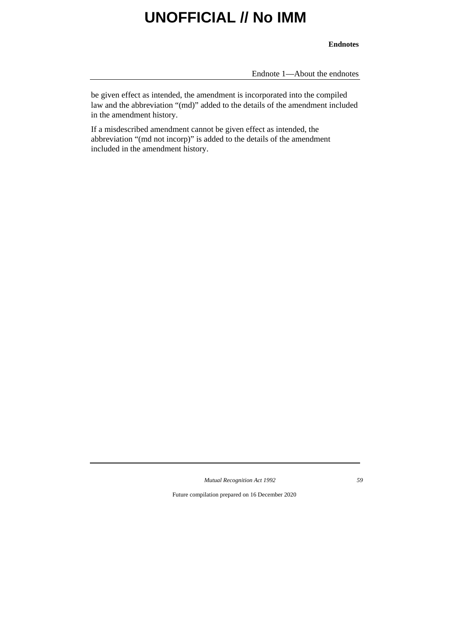#### **Endnotes**

Endnote 1—About the endnotes

be given effect as intended, the amendment is incorporated into the compiled law and the abbreviation "(md)" added to the details of the amendment included in the amendment history.

If a misdescribed amendment cannot be given effect as intended, the abbreviation "(md not incorp)" is added to the details of the amendment included in the amendment history.

*Mutual Recognition Act 1992 59*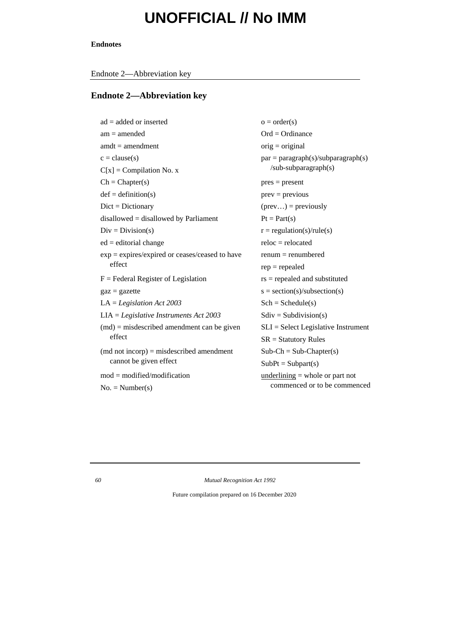#### **Endnotes**

Endnote 2—Abbreviation key

### **Endnote 2—Abbreviation key**

| $ad = added or inserted$                                   | $o = order(s)$                            |
|------------------------------------------------------------|-------------------------------------------|
| $am = amended$                                             | $Ord = Ordinance$                         |
| $amdt = amendment$                                         | $orig = original$                         |
| $c = clause(s)$                                            | $par = paragraph(s)/subparagraph(s)$      |
| $C[x]$ = Compilation No. x                                 | $sub-subparagnh(s)$                       |
| $Ch = Chapter(s)$                                          | $pres = present$                          |
| $def = definition(s)$                                      | $prev = previous$                         |
| $Dict = Dictionary$                                        | $(\text{prev}) = \text{previously}$       |
| $disallowed = disallowed by Parliament$                    | $Pt = Part(s)$                            |
| $Div = Division(s)$                                        | $r = \text{regulation}(s)/\text{rule}(s)$ |
| $ed = editorial change$                                    | $reloc = relocated$                       |
| exp = expires/expired or ceases/ceased to have             | $renum = renumbered$                      |
| effect                                                     | $rep = repeated$                          |
| $F =$ Federal Register of Legislation                      | $rs = repeated$ and substituted           |
| $\text{gaz} = \text{gazette}$                              | $s = section(s)/subsection(s)$            |
| $LA = Legislation Act 2003$                                | $Sch = Schedule(s)$                       |
| $LIA = Legislative Instruments Act 2003$                   | $Sdiv = Subdivision(s)$                   |
| $(md)$ = misdescribed amendment can be given               | $SLI = Select$ Legislative Instrument     |
| effect                                                     | $SR =$ Statutory Rules                    |
| $(\text{md not incorpor}) = \text{misdescribed amendment}$ | $Sub-Ch = Sub-Chapter(s)$                 |
| cannot be given effect                                     | $SubPt = Subpart(s)$                      |
| $mod = modified/modification$                              | $underlining = whole or part not$         |
| $No. = Number(s)$                                          | commenced or to be commenced              |

*60 Mutual Recognition Act 1992*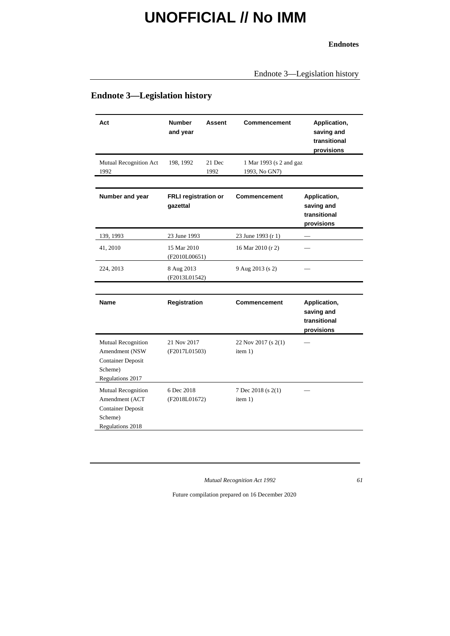#### **Endnotes**

Endnote 3—Legislation history

### **Endnote 3—Legislation history**

| Act                                                                                             | <b>Number</b><br>and year               | Assent         | Commencement                             | Application,<br>saving and<br>transitional<br>provisions |
|-------------------------------------------------------------------------------------------------|-----------------------------------------|----------------|------------------------------------------|----------------------------------------------------------|
| Mutual Recognition Act<br>1992                                                                  | 198, 1992                               | 21 Dec<br>1992 | 1 Mar 1993 (s 2 and gaz<br>1993, No GN7) |                                                          |
| Number and year                                                                                 | <b>FRLI registration or</b><br>qazettal |                | Commencement                             | Application,<br>saving and<br>transitional<br>provisions |
| 139, 1993                                                                                       | 23 June 1993                            |                | 23 June 1993 (r 1)                       |                                                          |
| 41, 2010                                                                                        | 15 Mar 2010<br>(F2010L00651)            |                | 16 Mar 2010 (r 2)                        |                                                          |
| 224, 2013                                                                                       | 8 Aug 2013<br>(F2013L01542)             |                | 9 Aug 2013 (s 2)                         |                                                          |
|                                                                                                 |                                         |                |                                          |                                                          |
| Name                                                                                            | Registration                            |                | Commencement                             | Application,<br>saving and<br>transitional<br>provisions |
| Mutual Recognition<br>Amendment (NSW<br><b>Container Deposit</b><br>Scheme)<br>Regulations 2017 | 21 Nov 2017<br>(F2017L01503)            |                | 22 Nov 2017 (s 2(1)<br>item 1)           |                                                          |
| Mutual Recognition<br>Amendment (ACT<br><b>Container Deposit</b><br>Scheme)<br>Regulations 2018 | 6 Dec 2018<br>(F2018L01672)             |                | 7 Dec 2018 (s 2(1)<br>item 1)            |                                                          |

*Mutual Recognition Act 1992 61*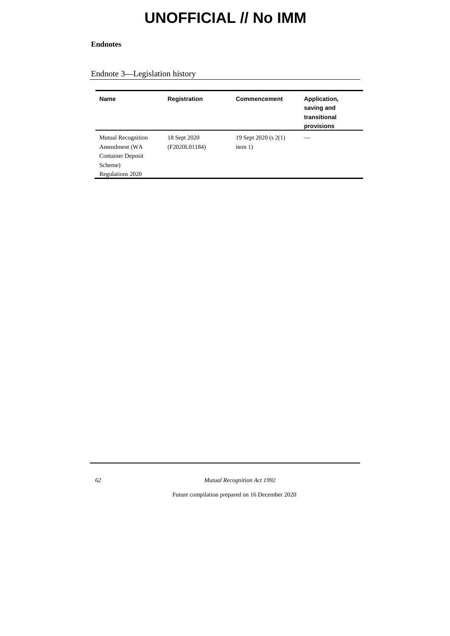#### **Endnotes**

### Endnote 3—Legislation history

| <b>Name</b>                                                                                    | Registration                  | Commencement                    | Application,<br>saving and<br>transitional<br>provisions |
|------------------------------------------------------------------------------------------------|-------------------------------|---------------------------------|----------------------------------------------------------|
| Mutual Recognition<br>Amendment (WA<br><b>Container Deposit</b><br>Scheme)<br>Regulations 2020 | 18 Sept 2020<br>(F2020L01184) | 19 Sept 2020 (s 2(1)<br>item 1) |                                                          |

*62 Mutual Recognition Act 1992*